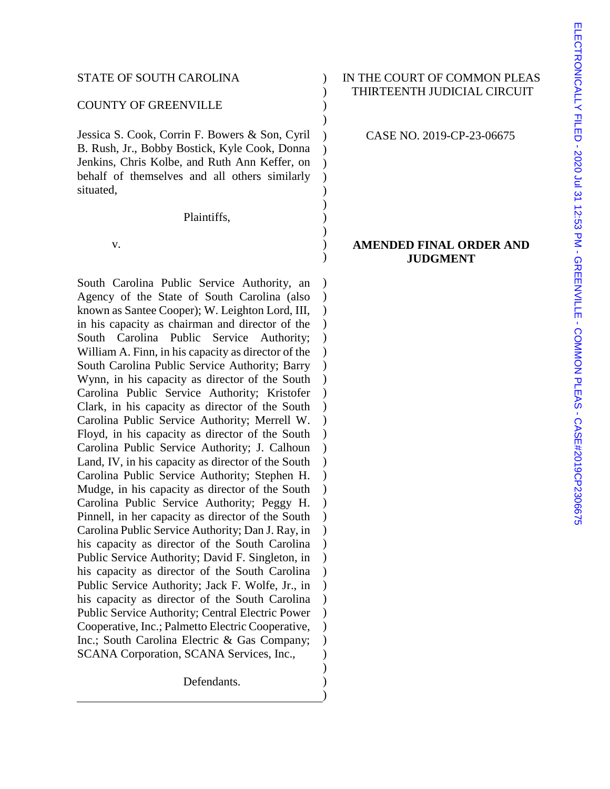#### COUNTY OF GREENVILLE )

Jessica S. Cook, Corrin F. Bowers & Son, Cyril B. Rush, Jr., Bobby Bostick, Kyle Cook, Donna Jenkins, Chris Kolbe, and Ruth Ann Keffer, on behalf of themselves and all others similarly situated,

Plaintiffs,

 $\mathbf v.$  )

South Carolina Public Service Authority, an Agency of the State of South Carolina (also known as Santee Cooper); W. Leighton Lord, III, in his capacity as chairman and director of the South Carolina Public Service Authority; William A. Finn, in his capacity as director of the South Carolina Public Service Authority; Barry Wynn, in his capacity as director of the South Carolina Public Service Authority; Kristofer Clark, in his capacity as director of the South Carolina Public Service Authority; Merrell W. Floyd, in his capacity as director of the South Carolina Public Service Authority; J. Calhoun Land, IV, in his capacity as director of the South Carolina Public Service Authority; Stephen H. Mudge, in his capacity as director of the South Carolina Public Service Authority; Peggy H. Pinnell, in her capacity as director of the South Carolina Public Service Authority; Dan J. Ray, in his capacity as director of the South Carolina Public Service Authority; David F. Singleton, in his capacity as director of the South Carolina Public Service Authority; Jack F. Wolfe, Jr., in his capacity as director of the South Carolina Public Service Authority; Central Electric Power Cooperative, Inc.; Palmetto Electric Cooperative, Inc.; South Carolina Electric & Gas Company; SCANA Corporation, SCANA Services, Inc.,

Defendants.

## STATE OF SOUTH CAROLINA ) IN THE COURT OF COMMON PLEAS ) THIRTEENTH JUDICIAL CIRCUIT

CASE NO. 2019-CP-23-06675

)

) ) ) ) ) ) ) )

)

) ) ) ) ) ) )  $\lambda$  $\lambda$ ) ) )  $\lambda$ ) ) ) ) ) ) ) ) ) ) ) ) ) ) ) ) ) )

#### **AMENDED FINAL ORDER AND JUDGMENT**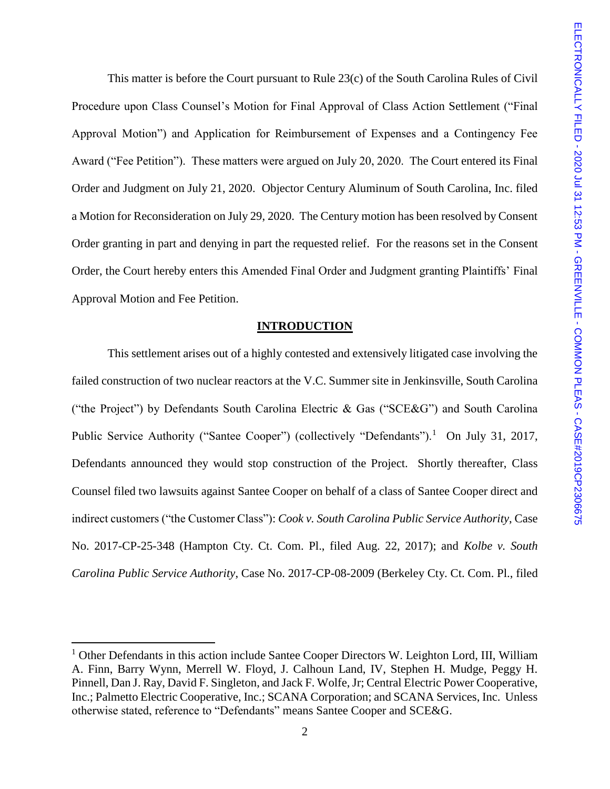This matter is before the Court pursuant to Rule 23(c) of the South Carolina Rules of Civil Procedure upon Class Counsel's Motion for Final Approval of Class Action Settlement ("Final Approval Motion") and Application for Reimbursement of Expenses and a Contingency Fee Award ("Fee Petition"). These matters were argued on July 20, 2020. The Court entered its Final Order and Judgment on July 21, 2020. Objector Century Aluminum of South Carolina, Inc. filed a Motion for Reconsideration on July 29, 2020. The Century motion has been resolved by Consent Order granting in part and denying in part the requested relief. For the reasons set in the Consent Order, the Court hereby enters this Amended Final Order and Judgment granting Plaintiffs' Final Approval Motion and Fee Petition.

#### **INTRODUCTION**

This settlement arises out of a highly contested and extensively litigated case involving the failed construction of two nuclear reactors at the V.C. Summer site in Jenkinsville, South Carolina ("the Project") by Defendants South Carolina Electric & Gas ("SCE&G") and South Carolina Public Service Authority ("Santee Cooper") (collectively "Defendants").<sup>1</sup> On July 31, 2017, Defendants announced they would stop construction of the Project. Shortly thereafter, Class Counsel filed two lawsuits against Santee Cooper on behalf of a class of Santee Cooper direct and indirect customers ("the Customer Class"): *Cook v. South Carolina Public Service Authority*, Case No. 2017-CP-25-348 (Hampton Cty. Ct. Com. Pl., filed Aug. 22, 2017); and *Kolbe v. South Carolina Public Service Authority*, Case No. 2017-CP-08-2009 (Berkeley Cty. Ct. Com. Pl., filed

 $1$  Other Defendants in this action include Santee Cooper Directors W. Leighton Lord, III, William A. Finn, Barry Wynn, Merrell W. Floyd, J. Calhoun Land, IV, Stephen H. Mudge, Peggy H. Pinnell, Dan J. Ray, David F. Singleton, and Jack F. Wolfe, Jr; Central Electric Power Cooperative, Inc.; Palmetto Electric Cooperative, Inc.; SCANA Corporation; and SCANA Services, Inc. Unless otherwise stated, reference to "Defendants" means Santee Cooper and SCE&G.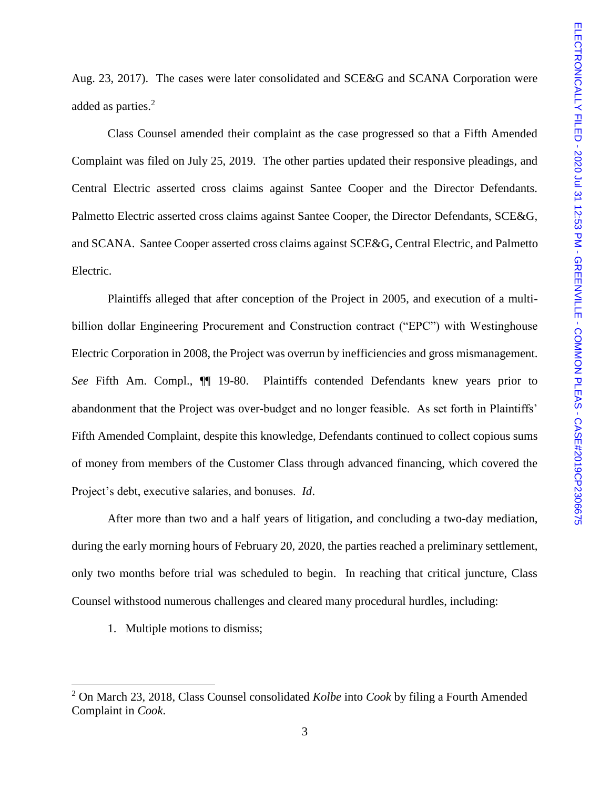Aug. 23, 2017). The cases were later consolidated and SCE&G and SCANA Corporation were added as parties.<sup>2</sup>

Class Counsel amended their complaint as the case progressed so that a Fifth Amended Complaint was filed on July 25, 2019. The other parties updated their responsive pleadings, and Central Electric asserted cross claims against Santee Cooper and the Director Defendants. Palmetto Electric asserted cross claims against Santee Cooper, the Director Defendants, SCE&G, and SCANA. Santee Cooper asserted cross claims against SCE&G, Central Electric, and Palmetto Electric.

Plaintiffs alleged that after conception of the Project in 2005, and execution of a multibillion dollar Engineering Procurement and Construction contract ("EPC") with Westinghouse Electric Corporation in 2008, the Project was overrun by inefficiencies and gross mismanagement. *See* Fifth Am. Compl., ¶¶ 19-80. Plaintiffs contended Defendants knew years prior to abandonment that the Project was over-budget and no longer feasible. As set forth in Plaintiffs' Fifth Amended Complaint, despite this knowledge, Defendants continued to collect copious sums of money from members of the Customer Class through advanced financing, which covered the Project's debt, executive salaries, and bonuses. *Id*.

After more than two and a half years of litigation, and concluding a two-day mediation, during the early morning hours of February 20, 2020, the parties reached a preliminary settlement, only two months before trial was scheduled to begin. In reaching that critical juncture, Class Counsel withstood numerous challenges and cleared many procedural hurdles, including:

1. Multiple motions to dismiss;

<sup>2</sup> On March 23, 2018, Class Counsel consolidated *Kolbe* into *Cook* by filing a Fourth Amended Complaint in *Cook*.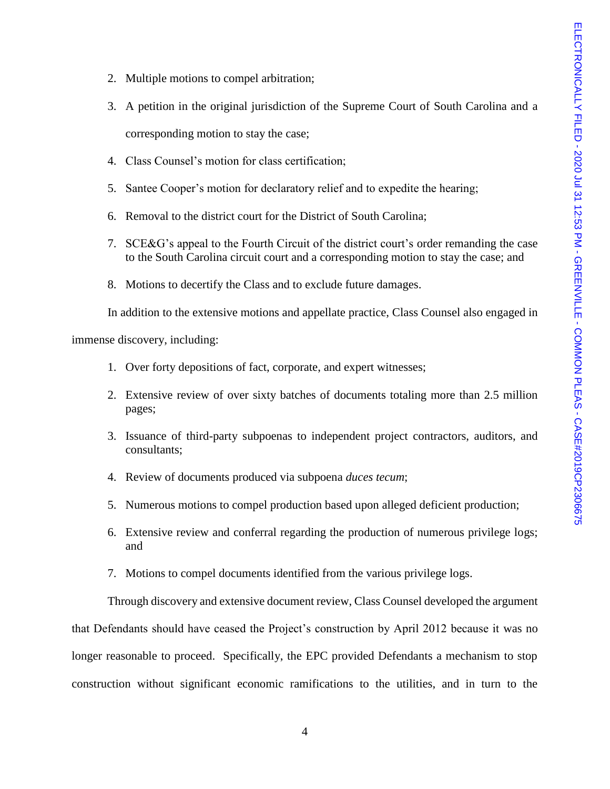- 2. Multiple motions to compel arbitration;
- 3. A petition in the original jurisdiction of the Supreme Court of South Carolina and a corresponding motion to stay the case;
- 4. Class Counsel's motion for class certification;
- 5. Santee Cooper's motion for declaratory relief and to expedite the hearing;
- 6. Removal to the district court for the District of South Carolina;
- 7. SCE&G's appeal to the Fourth Circuit of the district court's order remanding the case to the South Carolina circuit court and a corresponding motion to stay the case; and
- 8. Motions to decertify the Class and to exclude future damages.

In addition to the extensive motions and appellate practice, Class Counsel also engaged in

immense discovery, including:

- 1. Over forty depositions of fact, corporate, and expert witnesses;
- 2. Extensive review of over sixty batches of documents totaling more than 2.5 million pages;
- 3. Issuance of third-party subpoenas to independent project contractors, auditors, and consultants;
- 4. Review of documents produced via subpoena *duces tecum*;
- 5. Numerous motions to compel production based upon alleged deficient production;
- 6. Extensive review and conferral regarding the production of numerous privilege logs; and
- 7. Motions to compel documents identified from the various privilege logs.

Through discovery and extensive document review, Class Counsel developed the argument that Defendants should have ceased the Project's construction by April 2012 because it was no longer reasonable to proceed. Specifically, the EPC provided Defendants a mechanism to stop construction without significant economic ramifications to the utilities, and in turn to the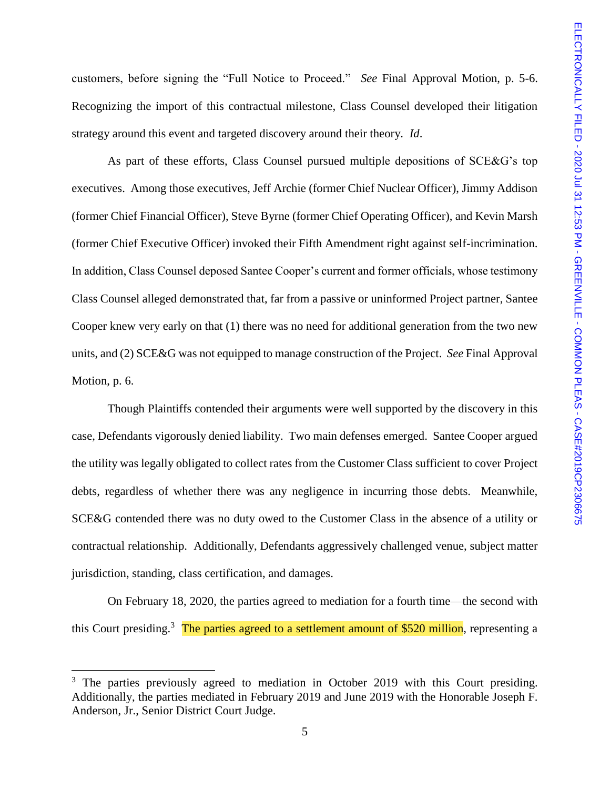customers, before signing the "Full Notice to Proceed." *See* Final Approval Motion, p. 5-6. Recognizing the import of this contractual milestone, Class Counsel developed their litigation strategy around this event and targeted discovery around their theory. *Id*.

As part of these efforts, Class Counsel pursued multiple depositions of SCE&G's top executives. Among those executives, Jeff Archie (former Chief Nuclear Officer), Jimmy Addison (former Chief Financial Officer), Steve Byrne (former Chief Operating Officer), and Kevin Marsh (former Chief Executive Officer) invoked their Fifth Amendment right against self-incrimination. In addition, Class Counsel deposed Santee Cooper's current and former officials, whose testimony Class Counsel alleged demonstrated that, far from a passive or uninformed Project partner, Santee Cooper knew very early on that (1) there was no need for additional generation from the two new units, and (2) SCE&G was not equipped to manage construction of the Project. *See* Final Approval Motion, p. 6.

Though Plaintiffs contended their arguments were well supported by the discovery in this case, Defendants vigorously denied liability. Two main defenses emerged. Santee Cooper argued the utility was legally obligated to collect rates from the Customer Class sufficient to cover Project debts, regardless of whether there was any negligence in incurring those debts. Meanwhile, SCE&G contended there was no duty owed to the Customer Class in the absence of a utility or contractual relationship. Additionally, Defendants aggressively challenged venue, subject matter jurisdiction, standing, class certification, and damages.

On February 18, 2020, the parties agreed to mediation for a fourth time—the second with this Court presiding.<sup>3</sup> The parties agreed to a settlement amount of \$520 million, representing a

 $3$  The parties previously agreed to mediation in October 2019 with this Court presiding. Additionally, the parties mediated in February 2019 and June 2019 with the Honorable Joseph F. Anderson, Jr., Senior District Court Judge.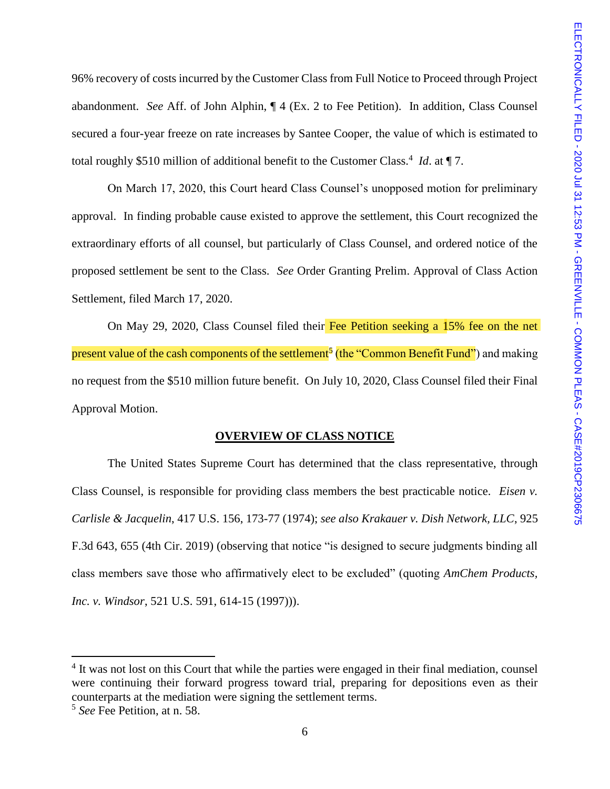96% recovery of costs incurred by the Customer Class from Full Notice to Proceed through Project abandonment. *See* Aff. of John Alphin, ¶ 4 (Ex. 2 to Fee Petition). In addition, Class Counsel secured a four-year freeze on rate increases by Santee Cooper, the value of which is estimated to total roughly \$510 million of additional benefit to the Customer Class.<sup>4</sup> *Id.* at ¶ 7.

On March 17, 2020, this Court heard Class Counsel's unopposed motion for preliminary approval. In finding probable cause existed to approve the settlement, this Court recognized the extraordinary efforts of all counsel, but particularly of Class Counsel, and ordered notice of the proposed settlement be sent to the Class. *See* Order Granting Prelim. Approval of Class Action Settlement, filed March 17, 2020.

On May 29, 2020, Class Counsel filed their Fee Petition seeking a 15% fee on the net present value of the cash components of the settlement<sup>5</sup> (the "Common Benefit Fund") and making no request from the \$510 million future benefit. On July 10, 2020, Class Counsel filed their Final Approval Motion.

## **OVERVIEW OF CLASS NOTICE**

The United States Supreme Court has determined that the class representative, through Class Counsel, is responsible for providing class members the best practicable notice. *Eisen v. Carlisle & Jacquelin*, 417 U.S. 156, 173-77 (1974); *see also Krakauer v. Dish Network, LLC*, 925 F.3d 643, 655 (4th Cir. 2019) (observing that notice "is designed to secure judgments binding all class members save those who affirmatively elect to be excluded" (quoting *AmChem Products, Inc. v. Windsor*, 521 U.S. 591, 614-15 (1997))).

<sup>&</sup>lt;sup>4</sup> It was not lost on this Court that while the parties were engaged in their final mediation, counsel were continuing their forward progress toward trial, preparing for depositions even as their counterparts at the mediation were signing the settlement terms.

<sup>5</sup> *See* Fee Petition, at n. 58.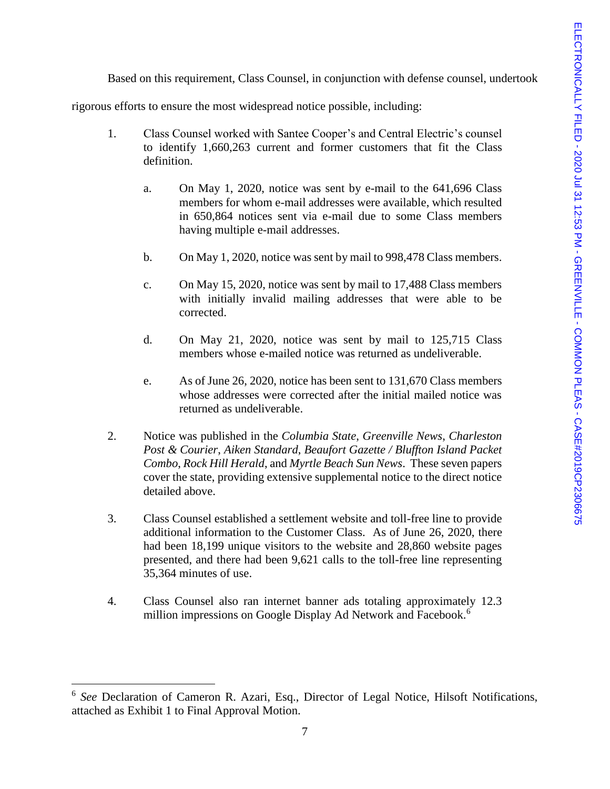Based on this requirement, Class Counsel, in conjunction with defense counsel, undertook

rigorous efforts to ensure the most widespread notice possible, including:

- 1. Class Counsel worked with Santee Cooper's and Central Electric's counsel to identify 1,660,263 current and former customers that fit the Class definition.
	- a. On May 1, 2020, notice was sent by e-mail to the 641,696 Class members for whom e-mail addresses were available, which resulted in 650,864 notices sent via e-mail due to some Class members having multiple e-mail addresses.
	- b. On May 1, 2020, notice was sent by mail to 998,478 Class members.
	- c. On May 15, 2020, notice was sent by mail to 17,488 Class members with initially invalid mailing addresses that were able to be corrected.
	- d. On May 21, 2020, notice was sent by mail to 125,715 Class members whose e-mailed notice was returned as undeliverable.
	- e. As of June 26, 2020, notice has been sent to 131,670 Class members whose addresses were corrected after the initial mailed notice was returned as undeliverable.
- 2. Notice was published in the *Columbia State*, *Greenville News*, *Charleston Post & Courier*, *Aiken Standard*, *Beaufort Gazette / Bluffton Island Packet Combo*, *Rock Hill Herald*, and *Myrtle Beach Sun News*. These seven papers cover the state, providing extensive supplemental notice to the direct notice detailed above.
- 3. Class Counsel established a settlement website and toll-free line to provide additional information to the Customer Class. As of June 26, 2020, there had been 18,199 unique visitors to the website and 28,860 website pages presented, and there had been 9,621 calls to the toll-free line representing 35,364 minutes of use.
- 4. Class Counsel also ran internet banner ads totaling approximately 12.3 million impressions on Google Display Ad Network and Facebook.<sup>6</sup>

<sup>&</sup>lt;sup>6</sup> See Declaration of Cameron R. Azari, Esq., Director of Legal Notice, Hilsoft Notifications, attached as Exhibit 1 to Final Approval Motion.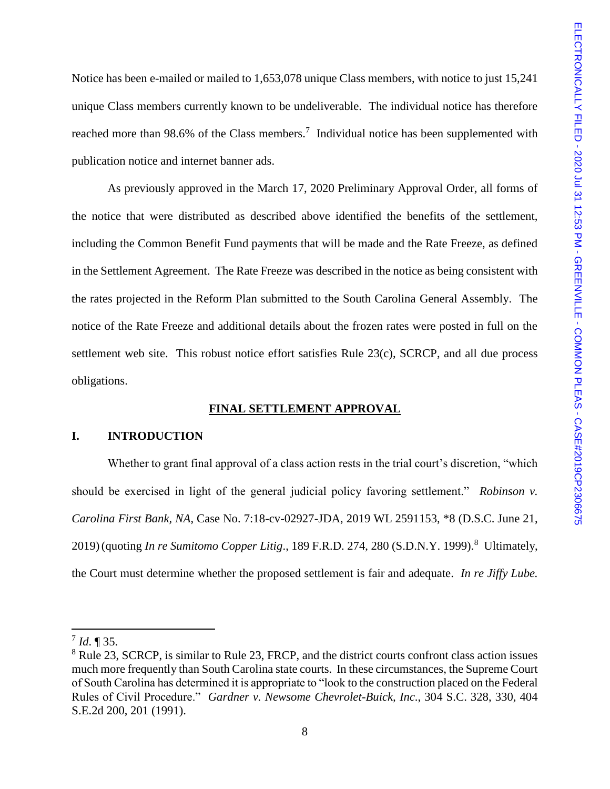Notice has been e-mailed or mailed to 1,653,078 unique Class members, with notice to just 15,241 unique Class members currently known to be undeliverable. The individual notice has therefore reached more than 98.6% of the Class members.<sup>7</sup> Individual notice has been supplemented with publication notice and internet banner ads.

As previously approved in the March 17, 2020 Preliminary Approval Order, all forms of the notice that were distributed as described above identified the benefits of the settlement, including the Common Benefit Fund payments that will be made and the Rate Freeze, as defined in the Settlement Agreement. The Rate Freeze was described in the notice as being consistent with the rates projected in the Reform Plan submitted to the South Carolina General Assembly. The notice of the Rate Freeze and additional details about the frozen rates were posted in full on the settlement web site. This robust notice effort satisfies Rule 23(c), SCRCP, and all due process obligations.

## **FINAL SETTLEMENT APPROVAL**

## **I. INTRODUCTION**

Whether to grant final approval of a class action rests in the trial court's discretion, "which should be exercised in light of the general judicial policy favoring settlement." *Robinson v. Carolina First Bank, NA*, Case No. 7:18-cv-02927-JDA, 2019 WL 2591153, \*8 (D.S.C. June 21, 2019) (quoting *In re Sumitomo Copper Litig.*, 189 F.R.D. 274, 280 (S.D.N.Y. 1999).<sup>8</sup> Ultimately, the Court must determine whether the proposed settlement is fair and adequate. *In re Jiffy Lube.* 

<sup>7</sup> *Id*. ¶ 35.

<sup>&</sup>lt;sup>8</sup> Rule 23, SCRCP, is similar to Rule 23, FRCP, and the district courts confront class action issues much more frequently than South Carolina state courts. In these circumstances, the Supreme Court of South Carolina has determined it is appropriate to "look to the construction placed on the Federal Rules of Civil Procedure." *Gardner v. Newsome Chevrolet-Buick, Inc*., 304 S.C. 328, 330, 404 S.E.2d 200, 201 (1991).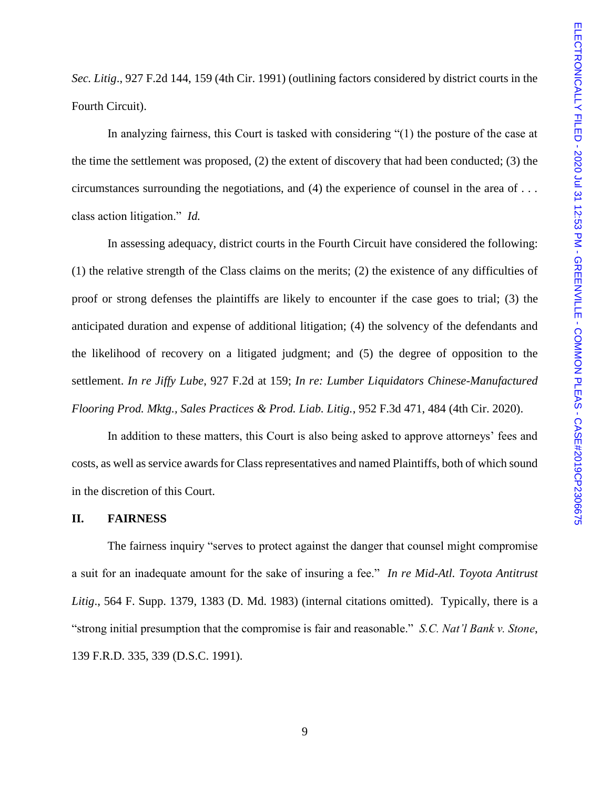*Sec. Litig*., 927 F.2d 144, 159 (4th Cir. 1991) (outlining factors considered by district courts in the Fourth Circuit).

In analyzing fairness, this Court is tasked with considering "(1) the posture of the case at the time the settlement was proposed, (2) the extent of discovery that had been conducted; (3) the circumstances surrounding the negotiations, and (4) the experience of counsel in the area of . . . class action litigation." *Id.*

In assessing adequacy, district courts in the Fourth Circuit have considered the following: (1) the relative strength of the Class claims on the merits; (2) the existence of any difficulties of proof or strong defenses the plaintiffs are likely to encounter if the case goes to trial; (3) the anticipated duration and expense of additional litigation; (4) the solvency of the defendants and the likelihood of recovery on a litigated judgment; and (5) the degree of opposition to the settlement. *In re Jiffy Lube*, 927 F.2d at 159; *In re: Lumber Liquidators Chinese-Manufactured Flooring Prod. Mktg., Sales Practices & Prod. Liab. Litig.*, 952 F.3d 471, 484 (4th Cir. 2020).

In addition to these matters, this Court is also being asked to approve attorneys' fees and costs, as well as service awards for Class representatives and named Plaintiffs, both of which sound in the discretion of this Court.

#### **II. FAIRNESS**

The fairness inquiry "serves to protect against the danger that counsel might compromise a suit for an inadequate amount for the sake of insuring a fee." *In re Mid-Atl. Toyota Antitrust Litig*., 564 F. Supp. 1379, 1383 (D. Md. 1983) (internal citations omitted). Typically, there is a "strong initial presumption that the compromise is fair and reasonable." *S.C. Nat'l Bank v. Stone*, 139 F.R.D. 335, 339 (D.S.C. 1991).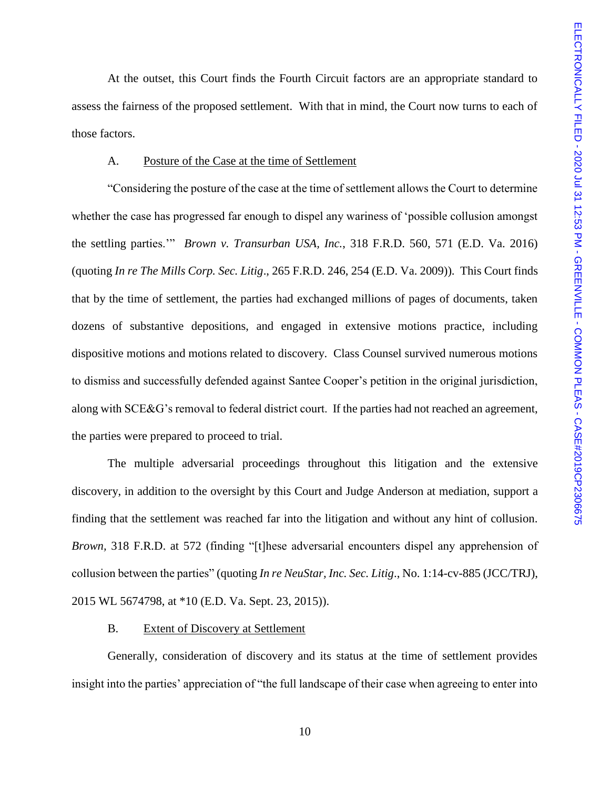At the outset, this Court finds the Fourth Circuit factors are an appropriate standard to assess the fairness of the proposed settlement. With that in mind, the Court now turns to each of those factors.

#### A. Posture of the Case at the time of Settlement

"Considering the posture of the case at the time of settlement allows the Court to determine whether the case has progressed far enough to dispel any wariness of 'possible collusion amongst the settling parties.'" *Brown v. Transurban USA, Inc.*, 318 F.R.D. 560, 571 (E.D. Va. 2016) (quoting *In re The Mills Corp. Sec. Litig*., 265 F.R.D. 246, 254 (E.D. Va. 2009)). This Court finds that by the time of settlement, the parties had exchanged millions of pages of documents, taken dozens of substantive depositions, and engaged in extensive motions practice, including dispositive motions and motions related to discovery. Class Counsel survived numerous motions to dismiss and successfully defended against Santee Cooper's petition in the original jurisdiction, along with SCE&G's removal to federal district court. If the parties had not reached an agreement, the parties were prepared to proceed to trial.

The multiple adversarial proceedings throughout this litigation and the extensive discovery, in addition to the oversight by this Court and Judge Anderson at mediation, support a finding that the settlement was reached far into the litigation and without any hint of collusion. *Brown,* 318 F.R.D. at 572 (finding "[t]hese adversarial encounters dispel any apprehension of collusion between the parties" (quoting *In re NeuStar, Inc. Sec. Litig*., No. 1:14-cv-885 (JCC/TRJ), 2015 WL 5674798, at \*10 (E.D. Va. Sept. 23, 2015)).

#### B. Extent of Discovery at Settlement

Generally, consideration of discovery and its status at the time of settlement provides insight into the parties' appreciation of "the full landscape of their case when agreeing to enter into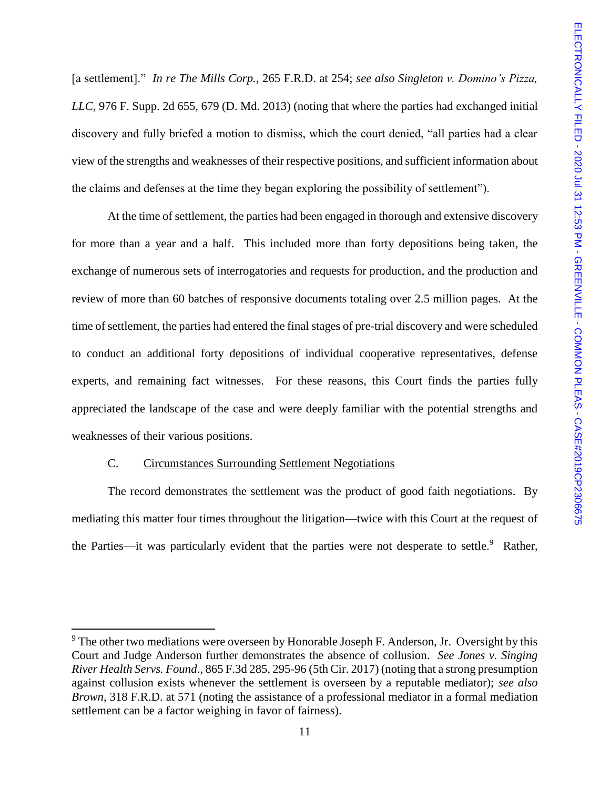[a settlement]." *In re The Mills Corp.*, 265 F.R.D. at 254; *see also Singleton v. Domino's Pizza, LLC*, 976 F. Supp. 2d 655, 679 (D. Md. 2013) (noting that where the parties had exchanged initial discovery and fully briefed a motion to dismiss, which the court denied, "all parties had a clear view of the strengths and weaknesses of their respective positions, and sufficient information about the claims and defenses at the time they began exploring the possibility of settlement").

At the time of settlement, the parties had been engaged in thorough and extensive discovery for more than a year and a half. This included more than forty depositions being taken, the exchange of numerous sets of interrogatories and requests for production, and the production and review of more than 60 batches of responsive documents totaling over 2.5 million pages. At the time of settlement, the parties had entered the final stages of pre-trial discovery and were scheduled to conduct an additional forty depositions of individual cooperative representatives, defense experts, and remaining fact witnesses. For these reasons, this Court finds the parties fully appreciated the landscape of the case and were deeply familiar with the potential strengths and weaknesses of their various positions.

## C. Circumstances Surrounding Settlement Negotiations

 $\overline{a}$ 

The record demonstrates the settlement was the product of good faith negotiations. By mediating this matter four times throughout the litigation—twice with this Court at the request of the Parties—it was particularly evident that the parties were not desperate to settle.<sup>9</sup> Rather,

 $9<sup>9</sup>$  The other two mediations were overseen by Honorable Joseph F. Anderson, Jr. Oversight by this Court and Judge Anderson further demonstrates the absence of collusion. *See Jones v. Singing River Health Servs. Found*., 865 F.3d 285, 295-96 (5th Cir. 2017) (noting that a strong presumption against collusion exists whenever the settlement is overseen by a reputable mediator); *see also Brown*, 318 F.R.D. at 571 (noting the assistance of a professional mediator in a formal mediation settlement can be a factor weighing in favor of fairness).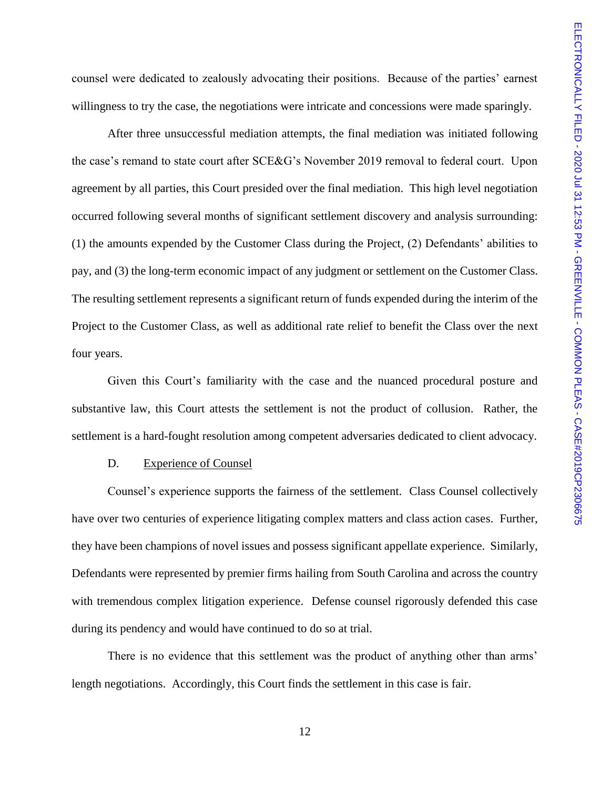counsel were dedicated to zealously advocating their positions. Because of the parties' earnest willingness to try the case, the negotiations were intricate and concessions were made sparingly.

After three unsuccessful mediation attempts, the final mediation was initiated following the case's remand to state court after SCE&G's November 2019 removal to federal court. Upon agreement by all parties, this Court presided over the final mediation. This high level negotiation occurred following several months of significant settlement discovery and analysis surrounding: (1) the amounts expended by the Customer Class during the Project, (2) Defendants' abilities to pay, and (3) the long-term economic impact of any judgment or settlement on the Customer Class. The resulting settlement represents a significant return of funds expended during the interim of the Project to the Customer Class, as well as additional rate relief to benefit the Class over the next four years.

Given this Court's familiarity with the case and the nuanced procedural posture and substantive law, this Court attests the settlement is not the product of collusion. Rather, the settlement is a hard-fought resolution among competent adversaries dedicated to client advocacy.

#### D. Experience of Counsel

Counsel's experience supports the fairness of the settlement. Class Counsel collectively have over two centuries of experience litigating complex matters and class action cases. Further, they have been champions of novel issues and possess significant appellate experience. Similarly, Defendants were represented by premier firms hailing from South Carolina and across the country with tremendous complex litigation experience. Defense counsel rigorously defended this case during its pendency and would have continued to do so at trial.

There is no evidence that this settlement was the product of anything other than arms' length negotiations. Accordingly, this Court finds the settlement in this case is fair.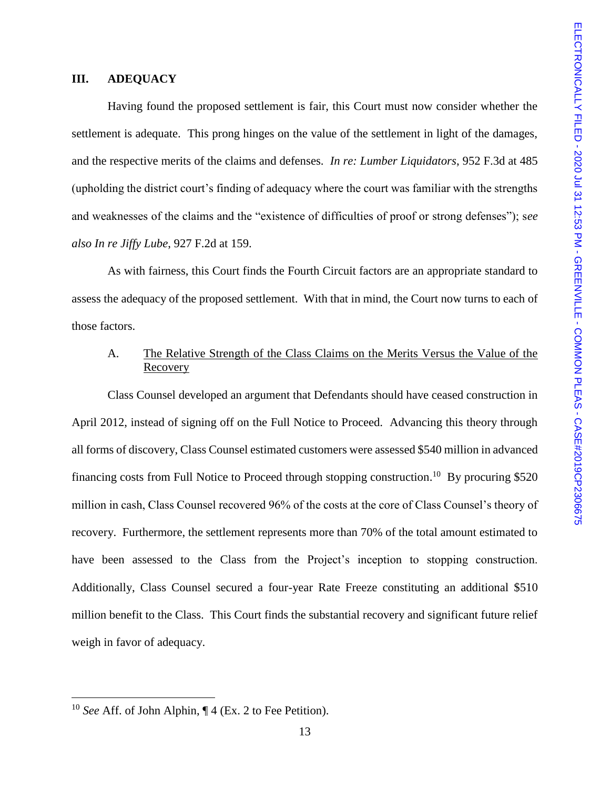## **III. ADEQUACY**

Having found the proposed settlement is fair, this Court must now consider whether the settlement is adequate. This prong hinges on the value of the settlement in light of the damages, and the respective merits of the claims and defenses. *In re: Lumber Liquidators*, 952 F.3d at 485 (upholding the district court's finding of adequacy where the court was familiar with the strengths and weaknesses of the claims and the "existence of difficulties of proof or strong defenses"); s*ee also In re Jiffy Lube*, 927 F.2d at 159.

As with fairness, this Court finds the Fourth Circuit factors are an appropriate standard to assess the adequacy of the proposed settlement. With that in mind, the Court now turns to each of those factors.

## A. The Relative Strength of the Class Claims on the Merits Versus the Value of the Recovery

Class Counsel developed an argument that Defendants should have ceased construction in April 2012, instead of signing off on the Full Notice to Proceed. Advancing this theory through all forms of discovery, Class Counsel estimated customers were assessed \$540 million in advanced financing costs from Full Notice to Proceed through stopping construction.<sup>10</sup> By procuring \$520 million in cash, Class Counsel recovered 96% of the costs at the core of Class Counsel's theory of recovery. Furthermore, the settlement represents more than 70% of the total amount estimated to have been assessed to the Class from the Project's inception to stopping construction. Additionally, Class Counsel secured a four-year Rate Freeze constituting an additional \$510 million benefit to the Class. This Court finds the substantial recovery and significant future relief weigh in favor of adequacy.

<sup>10</sup> *See* Aff. of John Alphin, ¶ 4 (Ex. 2 to Fee Petition).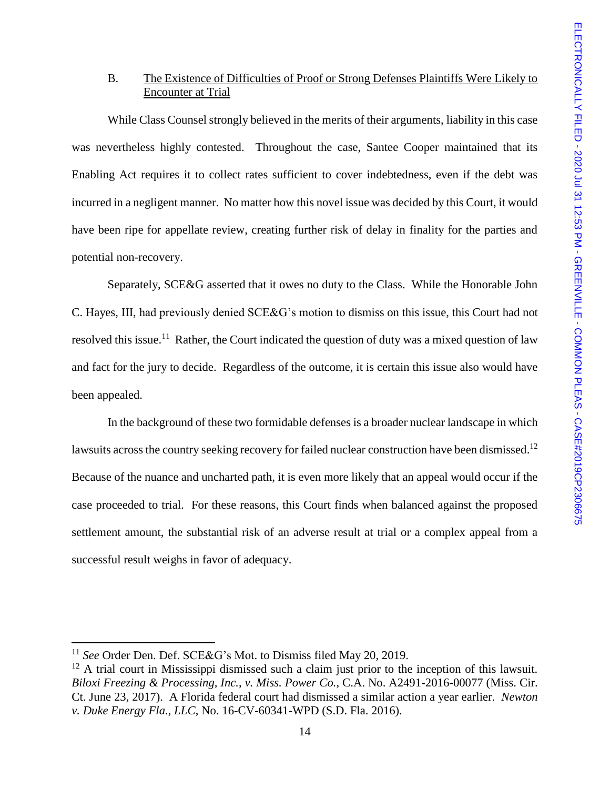## B. The Existence of Difficulties of Proof or Strong Defenses Plaintiffs Were Likely to Encounter at Trial

While Class Counsel strongly believed in the merits of their arguments, liability in this case was nevertheless highly contested. Throughout the case, Santee Cooper maintained that its Enabling Act requires it to collect rates sufficient to cover indebtedness, even if the debt was incurred in a negligent manner. No matter how this novel issue was decided by this Court, it would have been ripe for appellate review, creating further risk of delay in finality for the parties and potential non-recovery.

Separately, SCE&G asserted that it owes no duty to the Class. While the Honorable John C. Hayes, III, had previously denied SCE&G's motion to dismiss on this issue, this Court had not resolved this issue.<sup>11</sup> Rather, the Court indicated the question of duty was a mixed question of law and fact for the jury to decide. Regardless of the outcome, it is certain this issue also would have been appealed.

In the background of these two formidable defenses is a broader nuclear landscape in which lawsuits across the country seeking recovery for failed nuclear construction have been dismissed.<sup>12</sup> Because of the nuance and uncharted path, it is even more likely that an appeal would occur if the case proceeded to trial. For these reasons, this Court finds when balanced against the proposed settlement amount, the substantial risk of an adverse result at trial or a complex appeal from a successful result weighs in favor of adequacy.

<sup>11</sup> *See* Order Den. Def. SCE&G's Mot. to Dismiss filed May 20, 2019.

<sup>&</sup>lt;sup>12</sup> A trial court in Mississippi dismissed such a claim just prior to the inception of this lawsuit. *Biloxi Freezing & Processing, Inc.*, *v. Miss. Power Co.*, C.A. No. A2491-2016-00077 (Miss. Cir. Ct. June 23, 2017). A Florida federal court had dismissed a similar action a year earlier. *Newton v. Duke Energy Fla., LLC*, No. 16-CV-60341-WPD (S.D. Fla. 2016).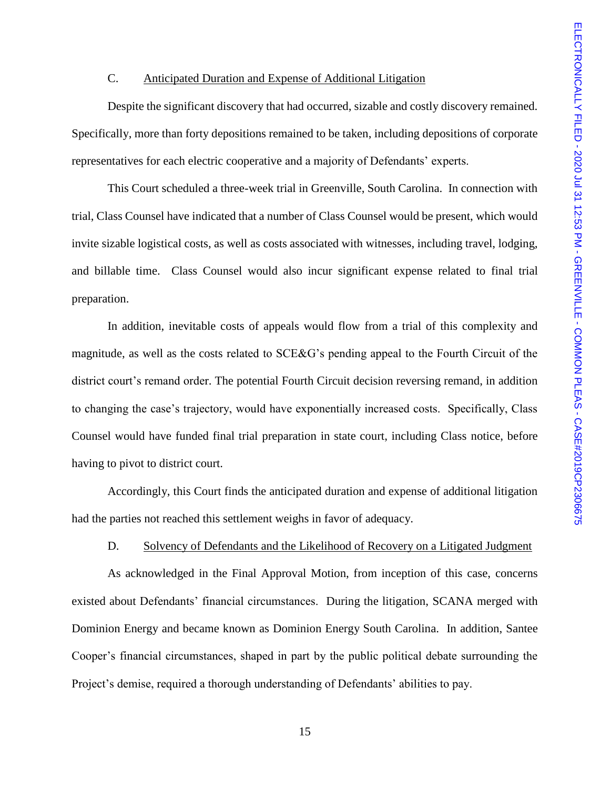## C. Anticipated Duration and Expense of Additional Litigation

Despite the significant discovery that had occurred, sizable and costly discovery remained. Specifically, more than forty depositions remained to be taken, including depositions of corporate representatives for each electric cooperative and a majority of Defendants' experts.

This Court scheduled a three-week trial in Greenville, South Carolina. In connection with trial, Class Counsel have indicated that a number of Class Counsel would be present, which would invite sizable logistical costs, as well as costs associated with witnesses, including travel, lodging, and billable time. Class Counsel would also incur significant expense related to final trial preparation.

In addition, inevitable costs of appeals would flow from a trial of this complexity and magnitude, as well as the costs related to SCE&G's pending appeal to the Fourth Circuit of the district court's remand order. The potential Fourth Circuit decision reversing remand, in addition to changing the case's trajectory, would have exponentially increased costs. Specifically, Class Counsel would have funded final trial preparation in state court, including Class notice, before having to pivot to district court.

Accordingly, this Court finds the anticipated duration and expense of additional litigation had the parties not reached this settlement weighs in favor of adequacy.

## D. Solvency of Defendants and the Likelihood of Recovery on a Litigated Judgment

As acknowledged in the Final Approval Motion, from inception of this case, concerns existed about Defendants' financial circumstances. During the litigation, SCANA merged with Dominion Energy and became known as Dominion Energy South Carolina. In addition, Santee Cooper's financial circumstances, shaped in part by the public political debate surrounding the Project's demise, required a thorough understanding of Defendants' abilities to pay.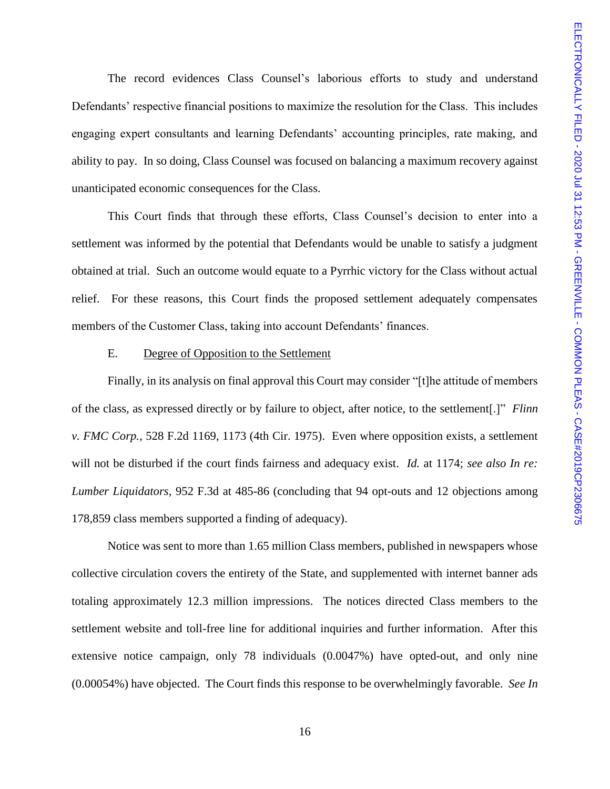The record evidences Class Counsel's laborious efforts to study and understand Defendants' respective financial positions to maximize the resolution for the Class. This includes engaging expert consultants and learning Defendants' accounting principles, rate making, and ability to pay. In so doing, Class Counsel was focused on balancing a maximum recovery against unanticipated economic consequences for the Class.

This Court finds that through these efforts, Class Counsel's decision to enter into a settlement was informed by the potential that Defendants would be unable to satisfy a judgment obtained at trial. Such an outcome would equate to a Pyrrhic victory for the Class without actual relief. For these reasons, this Court finds the proposed settlement adequately compensates members of the Customer Class, taking into account Defendants' finances.

## E. Degree of Opposition to the Settlement

Finally, in its analysis on final approval this Court may consider "[t]he attitude of members of the class, as expressed directly or by failure to object, after notice, to the settlement[.]" *Flinn v. FMC Corp.*, 528 F.2d 1169, 1173 (4th Cir. 1975). Even where opposition exists, a settlement will not be disturbed if the court finds fairness and adequacy exist. *Id.* at 1174; *see also In re: Lumber Liquidators*, 952 F.3d at 485-86 (concluding that 94 opt-outs and 12 objections among 178,859 class members supported a finding of adequacy).

Notice was sent to more than 1.65 million Class members, published in newspapers whose collective circulation covers the entirety of the State, and supplemented with internet banner ads totaling approximately 12.3 million impressions. The notices directed Class members to the settlement website and toll-free line for additional inquiries and further information. After this extensive notice campaign, only 78 individuals (0.0047%) have opted-out, and only nine (0.00054%) have objected. The Court finds this response to be overwhelmingly favorable. *See In*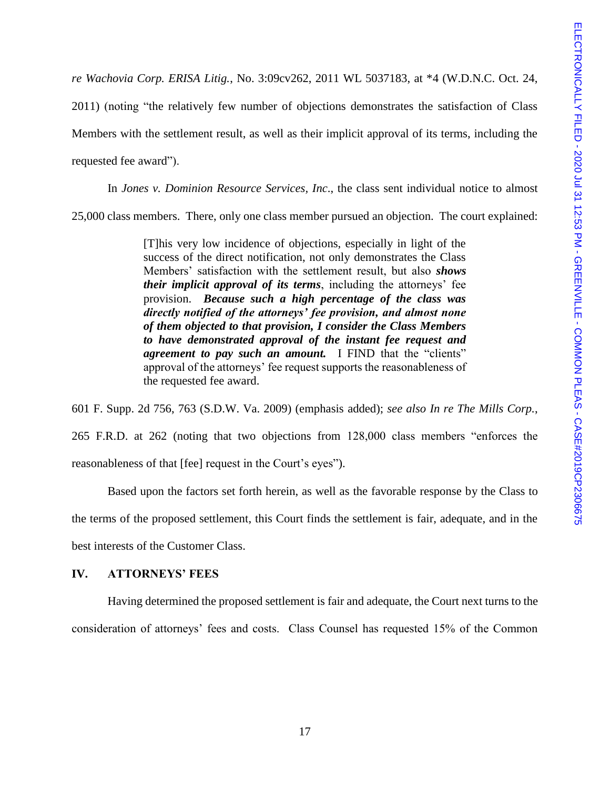*re Wachovia Corp. ERISA Litig.*, No. 3:09cv262, 2011 WL 5037183, at \*4 (W.D.N.C. Oct. 24,

2011) (noting "the relatively few number of objections demonstrates the satisfaction of Class Members with the settlement result, as well as their implicit approval of its terms, including the requested fee award").

In *Jones v. Dominion Resource Services, Inc*., the class sent individual notice to almost 25,000 class members. There, only one class member pursued an objection. The court explained:

> [T]his very low incidence of objections, especially in light of the success of the direct notification, not only demonstrates the Class Members' satisfaction with the settlement result, but also *shows their implicit approval of its terms*, including the attorneys' fee provision. *Because such a high percentage of the class was directly notified of the attorneys' fee provision, and almost none of them objected to that provision, I consider the Class Members to have demonstrated approval of the instant fee request and agreement to pay such an amount.* I FIND that the "clients" approval of the attorneys' fee request supports the reasonableness of the requested fee award.

601 F. Supp. 2d 756, 763 (S.D.W. Va. 2009) (emphasis added); *see also In re The Mills Corp.*, 265 F.R.D. at 262 (noting that two objections from 128,000 class members "enforces the reasonableness of that [fee] request in the Court's eyes").

Based upon the factors set forth herein, as well as the favorable response by the Class to the terms of the proposed settlement, this Court finds the settlement is fair, adequate, and in the best interests of the Customer Class.

## **IV. ATTORNEYS' FEES**

Having determined the proposed settlement is fair and adequate, the Court next turns to the consideration of attorneys' fees and costs. Class Counsel has requested 15% of the Common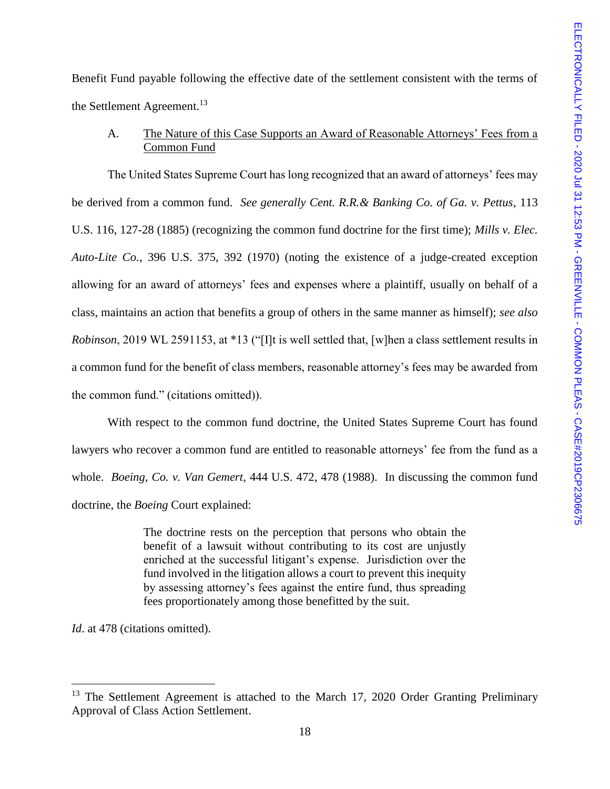Benefit Fund payable following the effective date of the settlement consistent with the terms of the Settlement Agreement.<sup>13</sup>

A. The Nature of this Case Supports an Award of Reasonable Attorneys' Fees from a Common Fund

The United States Supreme Court has long recognized that an award of attorneys' fees may be derived from a common fund. *See generally Cent. R.R.& Banking Co. of Ga. v. Pettus*, 113 U.S. 116, 127-28 (1885) (recognizing the common fund doctrine for the first time); *Mills v. Elec. Auto-Lite Co.*, 396 U.S. 375, 392 (1970) (noting the existence of a judge-created exception allowing for an award of attorneys' fees and expenses where a plaintiff, usually on behalf of a class, maintains an action that benefits a group of others in the same manner as himself); *see also Robinson*, 2019 WL 2591153, at \*13 ("[I]t is well settled that, [w]hen a class settlement results in a common fund for the benefit of class members, reasonable attorney's fees may be awarded from the common fund." (citations omitted)).

With respect to the common fund doctrine, the United States Supreme Court has found lawyers who recover a common fund are entitled to reasonable attorneys' fee from the fund as a whole. *Boeing, Co. v. Van Gemert*, 444 U.S. 472, 478 (1988). In discussing the common fund doctrine, the *Boeing* Court explained:

> The doctrine rests on the perception that persons who obtain the benefit of a lawsuit without contributing to its cost are unjustly enriched at the successful litigant's expense. Jurisdiction over the fund involved in the litigation allows a court to prevent this inequity by assessing attorney's fees against the entire fund, thus spreading fees proportionately among those benefitted by the suit.

*Id.* at 478 (citations omitted).

<sup>&</sup>lt;sup>13</sup> The Settlement Agreement is attached to the March 17, 2020 Order Granting Preliminary Approval of Class Action Settlement.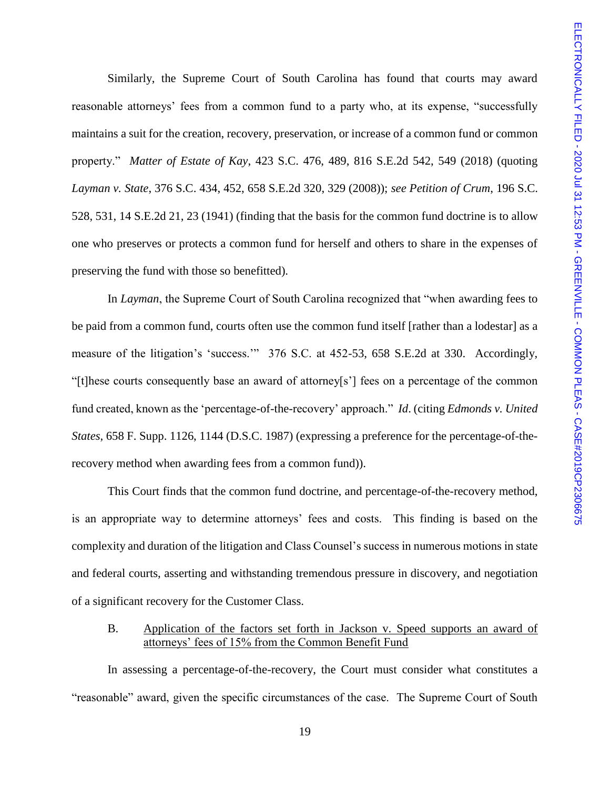Similarly, the Supreme Court of South Carolina has found that courts may award reasonable attorneys' fees from a common fund to a party who, at its expense, "successfully maintains a suit for the creation, recovery, preservation, or increase of a common fund or common property." *Matter of Estate of Kay*, 423 S.C. 476, 489, 816 S.E.2d 542, 549 (2018) (quoting *Layman v. State*, 376 S.C. 434, 452, 658 S.E.2d 320, 329 (2008)); *see Petition of Crum*, 196 S.C. 528, 531, 14 S.E.2d 21, 23 (1941) (finding that the basis for the common fund doctrine is to allow one who preserves or protects a common fund for herself and others to share in the expenses of preserving the fund with those so benefitted).

In *Layman*, the Supreme Court of South Carolina recognized that "when awarding fees to be paid from a common fund, courts often use the common fund itself [rather than a lodestar] as a measure of the litigation's 'success.'" 376 S.C. at 452-53, 658 S.E.2d at 330. Accordingly, "[t]hese courts consequently base an award of attorney[s'] fees on a percentage of the common fund created, known as the 'percentage-of-the-recovery' approach." *Id*. (citing *Edmonds v. United States*, 658 F. Supp. 1126, 1144 (D.S.C. 1987) (expressing a preference for the percentage-of-therecovery method when awarding fees from a common fund)).

This Court finds that the common fund doctrine, and percentage-of-the-recovery method, is an appropriate way to determine attorneys' fees and costs. This finding is based on the complexity and duration of the litigation and Class Counsel's success in numerous motions in state and federal courts, asserting and withstanding tremendous pressure in discovery, and negotiation of a significant recovery for the Customer Class.

## B. Application of the factors set forth in Jackson v. Speed supports an award of attorneys' fees of 15% from the Common Benefit Fund

In assessing a percentage-of-the-recovery, the Court must consider what constitutes a "reasonable" award, given the specific circumstances of the case. The Supreme Court of South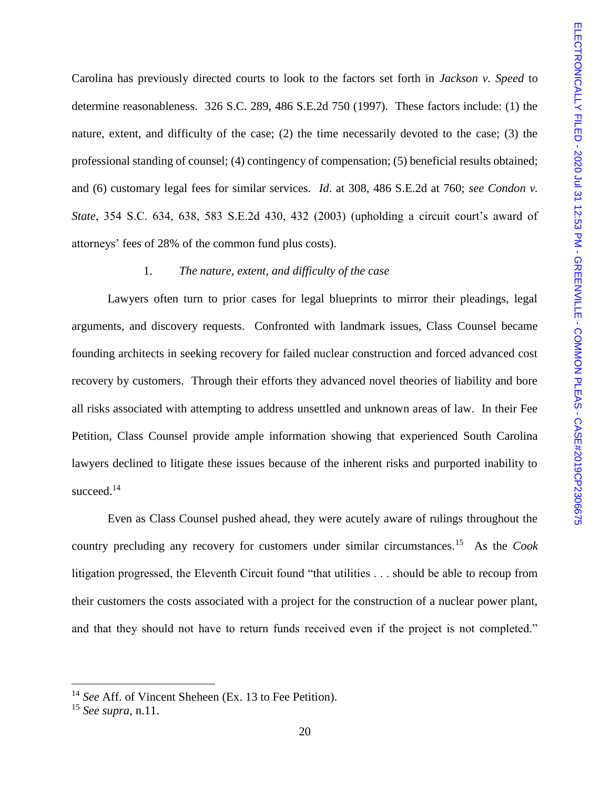Carolina has previously directed courts to look to the factors set forth in *Jackson v. Speed* to determine reasonableness. 326 S.C. 289, 486 S.E.2d 750 (1997). These factors include: (1) the nature, extent, and difficulty of the case; (2) the time necessarily devoted to the case; (3) the professional standing of counsel; (4) contingency of compensation; (5) beneficial results obtained; and (6) customary legal fees for similar services. *Id*. at 308, 486 S.E.2d at 760; *see Condon v. State*, 354 S.C. 634, 638, 583 S.E.2d 430, 432 (2003) (upholding a circuit court's award of attorneys' fees of 28% of the common fund plus costs).

## 1. *The nature, extent, and difficulty of the case*

Lawyers often turn to prior cases for legal blueprints to mirror their pleadings, legal arguments, and discovery requests. Confronted with landmark issues, Class Counsel became founding architects in seeking recovery for failed nuclear construction and forced advanced cost recovery by customers. Through their efforts they advanced novel theories of liability and bore all risks associated with attempting to address unsettled and unknown areas of law. In their Fee Petition, Class Counsel provide ample information showing that experienced South Carolina lawyers declined to litigate these issues because of the inherent risks and purported inability to succeed.<sup>14</sup>

Even as Class Counsel pushed ahead, they were acutely aware of rulings throughout the country precluding any recovery for customers under similar circumstances.<sup>15</sup> As the *Cook*  litigation progressed, the Eleventh Circuit found "that utilities . . . should be able to recoup from their customers the costs associated with a project for the construction of a nuclear power plant, and that they should not have to return funds received even if the project is not completed."

<sup>14</sup> *See* Aff. of Vincent Sheheen (Ex. 13 to Fee Petition).

<sup>15</sup> *See supra*, n.11.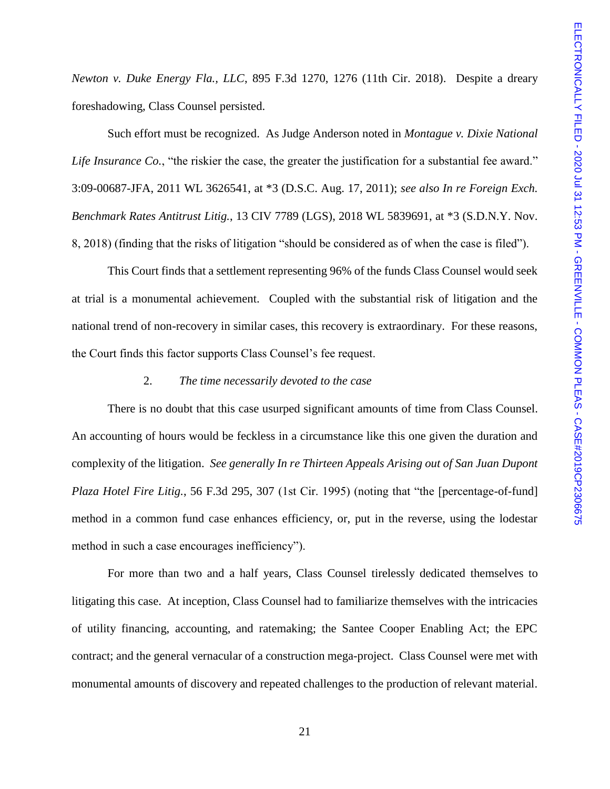*Newton v. Duke Energy Fla., LLC*, 895 F.3d 1270, 1276 (11th Cir. 2018). Despite a dreary foreshadowing, Class Counsel persisted.

Such effort must be recognized. As Judge Anderson noted in *Montague v. Dixie National Life Insurance Co.*, "the riskier the case, the greater the justification for a substantial fee award." 3:09-00687-JFA, 2011 WL 3626541, at \*3 (D.S.C. Aug. 17, 2011); *see also In re Foreign Exch. Benchmark Rates Antitrust Litig.*, 13 CIV 7789 (LGS), 2018 WL 5839691, at \*3 (S.D.N.Y. Nov. 8, 2018) (finding that the risks of litigation "should be considered as of when the case is filed").

This Court finds that a settlement representing 96% of the funds Class Counsel would seek at trial is a monumental achievement. Coupled with the substantial risk of litigation and the national trend of non-recovery in similar cases, this recovery is extraordinary. For these reasons, the Court finds this factor supports Class Counsel's fee request.

#### 2. *The time necessarily devoted to the case*

There is no doubt that this case usurped significant amounts of time from Class Counsel. An accounting of hours would be feckless in a circumstance like this one given the duration and complexity of the litigation. *See generally In re Thirteen Appeals Arising out of San Juan Dupont Plaza Hotel Fire Litig.*, 56 F.3d 295, 307 (1st Cir. 1995) (noting that "the [percentage-of-fund] method in a common fund case enhances efficiency, or, put in the reverse, using the lodestar method in such a case encourages inefficiency").

For more than two and a half years, Class Counsel tirelessly dedicated themselves to litigating this case. At inception, Class Counsel had to familiarize themselves with the intricacies of utility financing, accounting, and ratemaking; the Santee Cooper Enabling Act; the EPC contract; and the general vernacular of a construction mega-project. Class Counsel were met with monumental amounts of discovery and repeated challenges to the production of relevant material.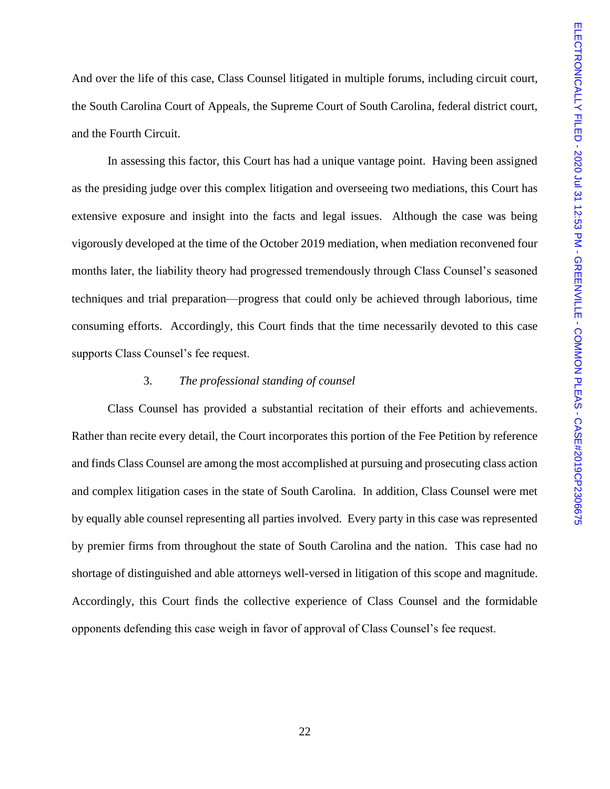And over the life of this case, Class Counsel litigated in multiple forums, including circuit court, the South Carolina Court of Appeals, the Supreme Court of South Carolina, federal district court, and the Fourth Circuit.

In assessing this factor, this Court has had a unique vantage point. Having been assigned as the presiding judge over this complex litigation and overseeing two mediations, this Court has extensive exposure and insight into the facts and legal issues. Although the case was being vigorously developed at the time of the October 2019 mediation, when mediation reconvened four months later, the liability theory had progressed tremendously through Class Counsel's seasoned techniques and trial preparation—progress that could only be achieved through laborious, time consuming efforts. Accordingly, this Court finds that the time necessarily devoted to this case supports Class Counsel's fee request.

## 3. *The professional standing of counsel*

Class Counsel has provided a substantial recitation of their efforts and achievements. Rather than recite every detail, the Court incorporates this portion of the Fee Petition by reference and finds Class Counsel are among the most accomplished at pursuing and prosecuting class action and complex litigation cases in the state of South Carolina. In addition, Class Counsel were met by equally able counsel representing all parties involved. Every party in this case was represented by premier firms from throughout the state of South Carolina and the nation. This case had no shortage of distinguished and able attorneys well-versed in litigation of this scope and magnitude. Accordingly, this Court finds the collective experience of Class Counsel and the formidable opponents defending this case weigh in favor of approval of Class Counsel's fee request.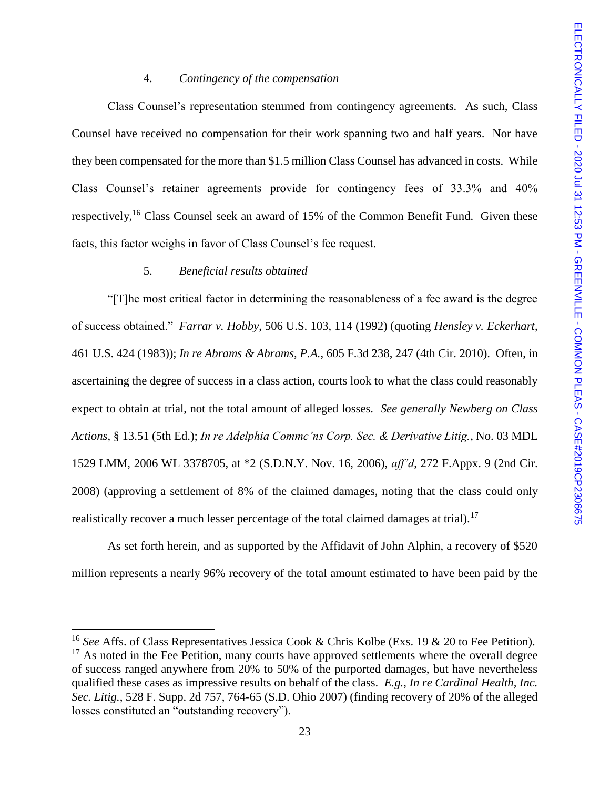## 4. *Contingency of the compensation*

Class Counsel's representation stemmed from contingency agreements. As such, Class Counsel have received no compensation for their work spanning two and half years. Nor have they been compensated for the more than \$1.5 million Class Counsel has advanced in costs. While Class Counsel's retainer agreements provide for contingency fees of 33.3% and 40% respectively,<sup>16</sup> Class Counsel seek an award of 15% of the Common Benefit Fund. Given these facts, this factor weighs in favor of Class Counsel's fee request.

## 5. *Beneficial results obtained*

 $\overline{a}$ 

"[T]he most critical factor in determining the reasonableness of a fee award is the degree of success obtained." *Farrar v. Hobby*, 506 U.S. 103, 114 (1992) (quoting *Hensley v. Eckerhart*, 461 U.S. 424 (1983)); *In re Abrams & Abrams, P.A.*, 605 F.3d 238, 247 (4th Cir. 2010). Often, in ascertaining the degree of success in a class action, courts look to what the class could reasonably expect to obtain at trial, not the total amount of alleged losses. *See generally Newberg on Class Actions*, § 13.51 (5th Ed.); *In re Adelphia Commc'ns Corp. Sec. & Derivative Litig.*, No. 03 MDL 1529 LMM, 2006 WL 3378705, at \*2 (S.D.N.Y. Nov. 16, 2006), *aff'd*, 272 F.Appx. 9 (2nd Cir. 2008) (approving a settlement of 8% of the claimed damages, noting that the class could only realistically recover a much lesser percentage of the total claimed damages at trial).<sup>17</sup>

As set forth herein, and as supported by the Affidavit of John Alphin, a recovery of \$520 million represents a nearly 96% recovery of the total amount estimated to have been paid by the

<sup>16</sup> *See* Affs. of Class Representatives Jessica Cook & Chris Kolbe (Exs. 19 & 20 to Fee Petition).  $17$  As noted in the Fee Petition, many courts have approved settlements where the overall degree of success ranged anywhere from 20% to 50% of the purported damages, but have nevertheless qualified these cases as impressive results on behalf of the class. *E.g., In re Cardinal Health, Inc. Sec. Litig.*, 528 F. Supp. 2d 757, 764-65 (S.D. Ohio 2007) (finding recovery of 20% of the alleged losses constituted an "outstanding recovery").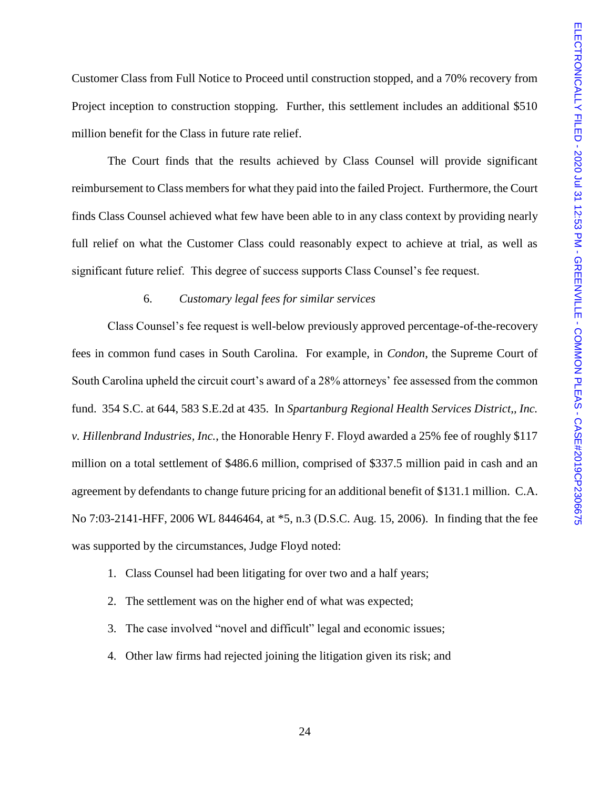Customer Class from Full Notice to Proceed until construction stopped, and a 70% recovery from Project inception to construction stopping. Further, this settlement includes an additional \$510 million benefit for the Class in future rate relief.

The Court finds that the results achieved by Class Counsel will provide significant reimbursement to Class members for what they paid into the failed Project. Furthermore, the Court finds Class Counsel achieved what few have been able to in any class context by providing nearly full relief on what the Customer Class could reasonably expect to achieve at trial, as well as significant future relief. This degree of success supports Class Counsel's fee request.

## 6. *Customary legal fees for similar services*

Class Counsel's fee request is well-below previously approved percentage-of-the-recovery fees in common fund cases in South Carolina. For example, in *Condon*, the Supreme Court of South Carolina upheld the circuit court's award of a 28% attorneys' fee assessed from the common fund. 354 S.C. at 644, 583 S.E.2d at 435. In *Spartanburg Regional Health Services District,, Inc. v. Hillenbrand Industries, Inc.*, the Honorable Henry F. Floyd awarded a 25% fee of roughly \$117 million on a total settlement of \$486.6 million, comprised of \$337.5 million paid in cash and an agreement by defendants to change future pricing for an additional benefit of \$131.1 million. C.A. No 7:03-2141-HFF, 2006 WL 8446464, at \*5, n.3 (D.S.C. Aug. 15, 2006). In finding that the fee was supported by the circumstances, Judge Floyd noted:

- 1. Class Counsel had been litigating for over two and a half years;
- 2. The settlement was on the higher end of what was expected;
- 3. The case involved "novel and difficult" legal and economic issues;
- 4. Other law firms had rejected joining the litigation given its risk; and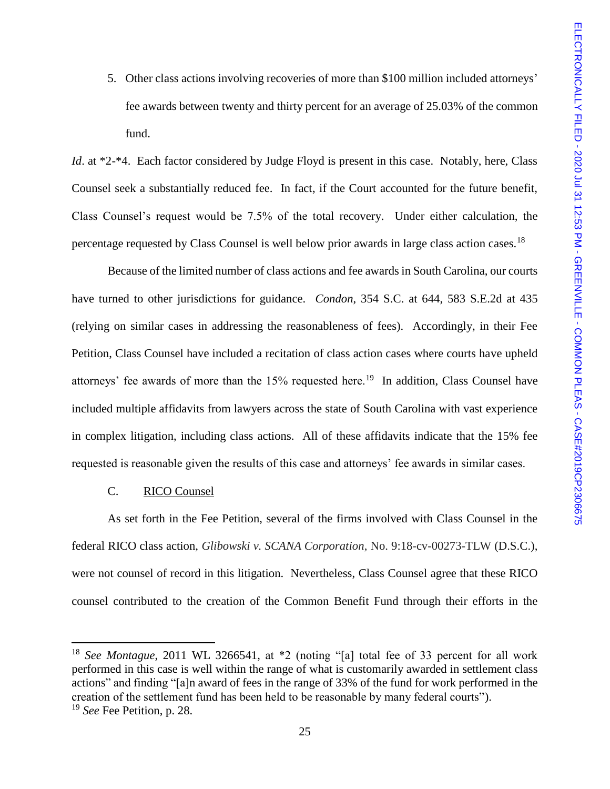5. Other class actions involving recoveries of more than \$100 million included attorneys' fee awards between twenty and thirty percent for an average of 25.03% of the common fund.

*Id.* at \*2-\*4. Each factor considered by Judge Floyd is present in this case. Notably, here, Class Counsel seek a substantially reduced fee. In fact, if the Court accounted for the future benefit, Class Counsel's request would be 7.5% of the total recovery. Under either calculation, the percentage requested by Class Counsel is well below prior awards in large class action cases.<sup>18</sup>

Because of the limited number of class actions and fee awards in South Carolina, our courts have turned to other jurisdictions for guidance. *Condon*, 354 S.C. at 644, 583 S.E.2d at 435 (relying on similar cases in addressing the reasonableness of fees). Accordingly, in their Fee Petition, Class Counsel have included a recitation of class action cases where courts have upheld attorneys' fee awards of more than the  $15\%$  requested here.<sup>19</sup> In addition, Class Counsel have included multiple affidavits from lawyers across the state of South Carolina with vast experience in complex litigation, including class actions. All of these affidavits indicate that the 15% fee requested is reasonable given the results of this case and attorneys' fee awards in similar cases.

## C. RICO Counsel

 $\overline{a}$ 

As set forth in the Fee Petition, several of the firms involved with Class Counsel in the federal RICO class action, *Glibowski v. SCANA Corporation*, No. 9:18-cv-00273-TLW (D.S.C.), were not counsel of record in this litigation. Nevertheless, Class Counsel agree that these RICO counsel contributed to the creation of the Common Benefit Fund through their efforts in the

<sup>&</sup>lt;sup>18</sup> *See Montague*, 2011 WL 3266541, at \*2 (noting "[a] total fee of 33 percent for all work performed in this case is well within the range of what is customarily awarded in settlement class actions" and finding "[a]n award of fees in the range of 33% of the fund for work performed in the creation of the settlement fund has been held to be reasonable by many federal courts"). <sup>19</sup> *See* Fee Petition, p. 28.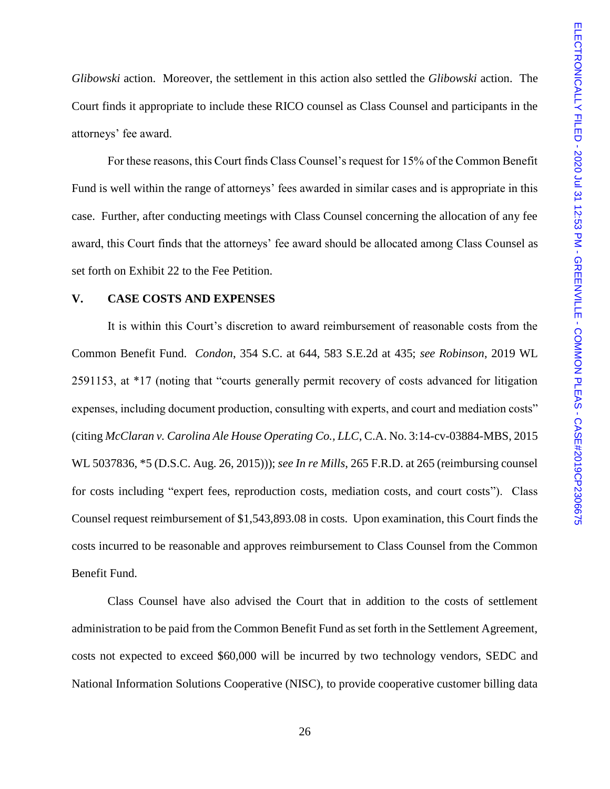*Glibowski* action. Moreover, the settlement in this action also settled the *Glibowski* action. The Court finds it appropriate to include these RICO counsel as Class Counsel and participants in the attorneys' fee award.

For these reasons, this Court finds Class Counsel's request for 15% of the Common Benefit Fund is well within the range of attorneys' fees awarded in similar cases and is appropriate in this case. Further, after conducting meetings with Class Counsel concerning the allocation of any fee award, this Court finds that the attorneys' fee award should be allocated among Class Counsel as set forth on Exhibit 22 to the Fee Petition.

## **V. CASE COSTS AND EXPENSES**

It is within this Court's discretion to award reimbursement of reasonable costs from the Common Benefit Fund. *Condon*, 354 S.C. at 644, 583 S.E.2d at 435; *see Robinson*, 2019 WL 2591153, at \*17 (noting that "courts generally permit recovery of costs advanced for litigation expenses, including document production, consulting with experts, and court and mediation costs" (citing *McClaran v. Carolina Ale House Operating Co., LLC*, C.A. No. 3:14-cv-03884-MBS, 2015 WL 5037836, \*5 (D.S.C. Aug. 26, 2015))); *see In re Mills*, 265 F.R.D. at 265 (reimbursing counsel for costs including "expert fees, reproduction costs, mediation costs, and court costs"). Class Counsel request reimbursement of \$1,543,893.08 in costs. Upon examination, this Court finds the costs incurred to be reasonable and approves reimbursement to Class Counsel from the Common Benefit Fund.

Class Counsel have also advised the Court that in addition to the costs of settlement administration to be paid from the Common Benefit Fund as set forth in the Settlement Agreement, costs not expected to exceed \$60,000 will be incurred by two technology vendors, SEDC and National Information Solutions Cooperative (NISC), to provide cooperative customer billing data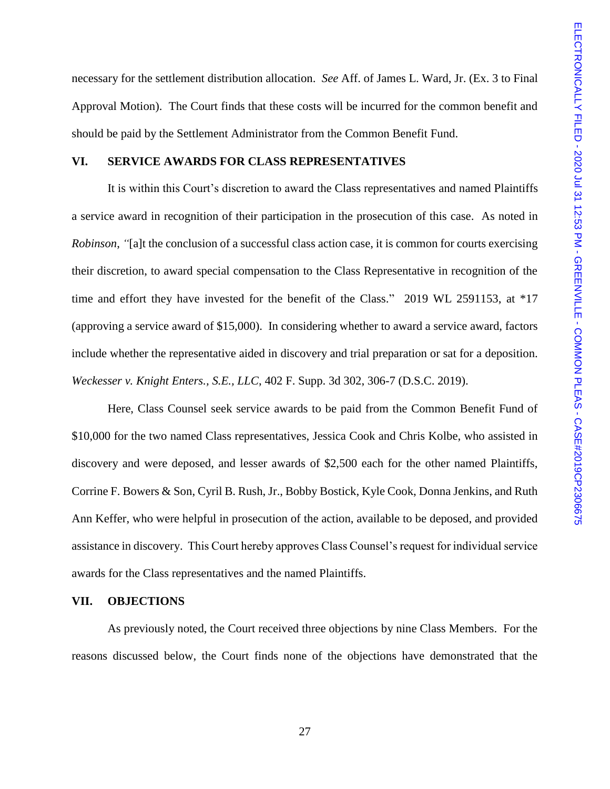necessary for the settlement distribution allocation. *See* Aff. of James L. Ward, Jr. (Ex. 3 to Final Approval Motion). The Court finds that these costs will be incurred for the common benefit and should be paid by the Settlement Administrator from the Common Benefit Fund.

#### **VI. SERVICE AWARDS FOR CLASS REPRESENTATIVES**

It is within this Court's discretion to award the Class representatives and named Plaintiffs a service award in recognition of their participation in the prosecution of this case. As noted in *Robinson*, *"*[a]t the conclusion of a successful class action case, it is common for courts exercising their discretion, to award special compensation to the Class Representative in recognition of the time and effort they have invested for the benefit of the Class." 2019 WL 2591153, at \*17 (approving a service award of \$15,000). In considering whether to award a service award, factors include whether the representative aided in discovery and trial preparation or sat for a deposition. *Weckesser v. Knight Enters., S.E., LLC*, 402 F. Supp. 3d 302, 306-7 (D.S.C. 2019).

Here, Class Counsel seek service awards to be paid from the Common Benefit Fund of \$10,000 for the two named Class representatives, Jessica Cook and Chris Kolbe, who assisted in discovery and were deposed, and lesser awards of \$2,500 each for the other named Plaintiffs, Corrine F. Bowers & Son, Cyril B. Rush, Jr., Bobby Bostick, Kyle Cook, Donna Jenkins, and Ruth Ann Keffer, who were helpful in prosecution of the action, available to be deposed, and provided assistance in discovery. This Court hereby approves Class Counsel's request for individual service awards for the Class representatives and the named Plaintiffs.

#### **VII. OBJECTIONS**

As previously noted, the Court received three objections by nine Class Members. For the reasons discussed below, the Court finds none of the objections have demonstrated that the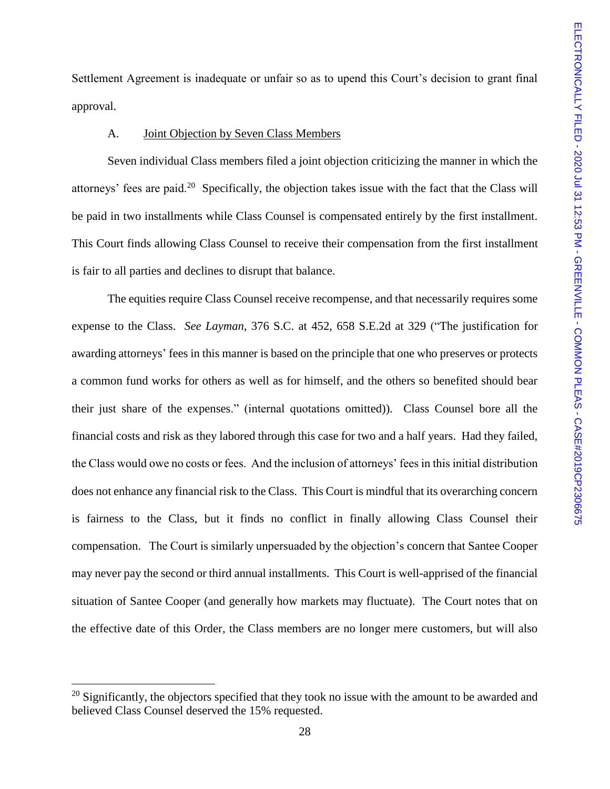Settlement Agreement is inadequate or unfair so as to upend this Court's decision to grant final approval.

#### A. Joint Objection by Seven Class Members

Seven individual Class members filed a joint objection criticizing the manner in which the attorneys' fees are paid.<sup>20</sup> Specifically, the objection takes issue with the fact that the Class will be paid in two installments while Class Counsel is compensated entirely by the first installment. This Court finds allowing Class Counsel to receive their compensation from the first installment is fair to all parties and declines to disrupt that balance.

The equities require Class Counsel receive recompense, and that necessarily requires some expense to the Class. *See Layman*, 376 S.C. at 452, 658 S.E.2d at 329 ("The justification for awarding attorneys' fees in this manner is based on the principle that one who preserves or protects a common fund works for others as well as for himself, and the others so benefited should bear their just share of the expenses." (internal quotations omitted)). Class Counsel bore all the financial costs and risk as they labored through this case for two and a half years. Had they failed, the Class would owe no costs or fees. And the inclusion of attorneys' fees in this initial distribution does not enhance any financial risk to the Class. This Court is mindful that its overarching concern is fairness to the Class, but it finds no conflict in finally allowing Class Counsel their compensation. The Court is similarly unpersuaded by the objection's concern that Santee Cooper may never pay the second or third annual installments. This Court is well-apprised of the financial situation of Santee Cooper (and generally how markets may fluctuate). The Court notes that on the effective date of this Order, the Class members are no longer mere customers, but will also

<sup>&</sup>lt;sup>20</sup> Significantly, the objectors specified that they took no issue with the amount to be awarded and believed Class Counsel deserved the 15% requested.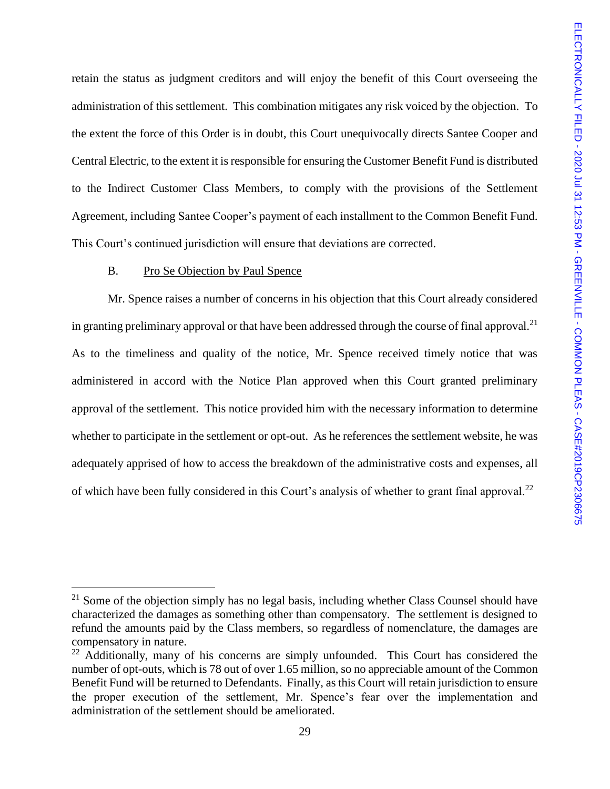retain the status as judgment creditors and will enjoy the benefit of this Court overseeing the administration of this settlement. This combination mitigates any risk voiced by the objection. To the extent the force of this Order is in doubt, this Court unequivocally directs Santee Cooper and Central Electric, to the extent it is responsible for ensuring the Customer Benefit Fund is distributed to the Indirect Customer Class Members, to comply with the provisions of the Settlement Agreement, including Santee Cooper's payment of each installment to the Common Benefit Fund. This Court's continued jurisdiction will ensure that deviations are corrected.

## B. Pro Se Objection by Paul Spence

 $\overline{a}$ 

Mr. Spence raises a number of concerns in his objection that this Court already considered in granting preliminary approval or that have been addressed through the course of final approval.<sup>21</sup> As to the timeliness and quality of the notice, Mr. Spence received timely notice that was administered in accord with the Notice Plan approved when this Court granted preliminary approval of the settlement. This notice provided him with the necessary information to determine whether to participate in the settlement or opt-out. As he references the settlement website, he was adequately apprised of how to access the breakdown of the administrative costs and expenses, all of which have been fully considered in this Court's analysis of whether to grant final approval.<sup>22</sup>

 $21$  Some of the objection simply has no legal basis, including whether Class Counsel should have characterized the damages as something other than compensatory. The settlement is designed to refund the amounts paid by the Class members, so regardless of nomenclature, the damages are compensatory in nature.

<sup>&</sup>lt;sup>22</sup> Additionally, many of his concerns are simply unfounded. This Court has considered the number of opt-outs, which is 78 out of over 1.65 million, so no appreciable amount of the Common Benefit Fund will be returned to Defendants. Finally, as this Court will retain jurisdiction to ensure the proper execution of the settlement, Mr. Spence's fear over the implementation and administration of the settlement should be ameliorated.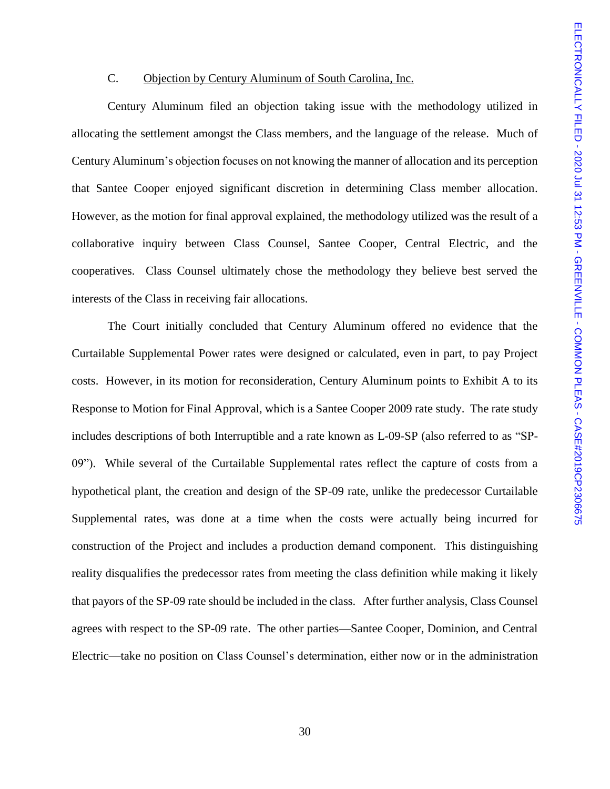## C. Objection by Century Aluminum of South Carolina, Inc.

Century Aluminum filed an objection taking issue with the methodology utilized in allocating the settlement amongst the Class members, and the language of the release. Much of Century Aluminum's objection focuses on not knowing the manner of allocation and its perception that Santee Cooper enjoyed significant discretion in determining Class member allocation. However, as the motion for final approval explained, the methodology utilized was the result of a collaborative inquiry between Class Counsel, Santee Cooper, Central Electric, and the cooperatives. Class Counsel ultimately chose the methodology they believe best served the interests of the Class in receiving fair allocations.

The Court initially concluded that Century Aluminum offered no evidence that the Curtailable Supplemental Power rates were designed or calculated, even in part, to pay Project costs. However, in its motion for reconsideration, Century Aluminum points to Exhibit A to its Response to Motion for Final Approval, which is a Santee Cooper 2009 rate study. The rate study includes descriptions of both Interruptible and a rate known as L-09-SP (also referred to as "SP-09"). While several of the Curtailable Supplemental rates reflect the capture of costs from a hypothetical plant, the creation and design of the SP-09 rate, unlike the predecessor Curtailable Supplemental rates, was done at a time when the costs were actually being incurred for construction of the Project and includes a production demand component. This distinguishing reality disqualifies the predecessor rates from meeting the class definition while making it likely that payors of the SP-09 rate should be included in the class. After further analysis, Class Counsel agrees with respect to the SP-09 rate. The other parties—Santee Cooper, Dominion, and Central Electric—take no position on Class Counsel's determination, either now or in the administration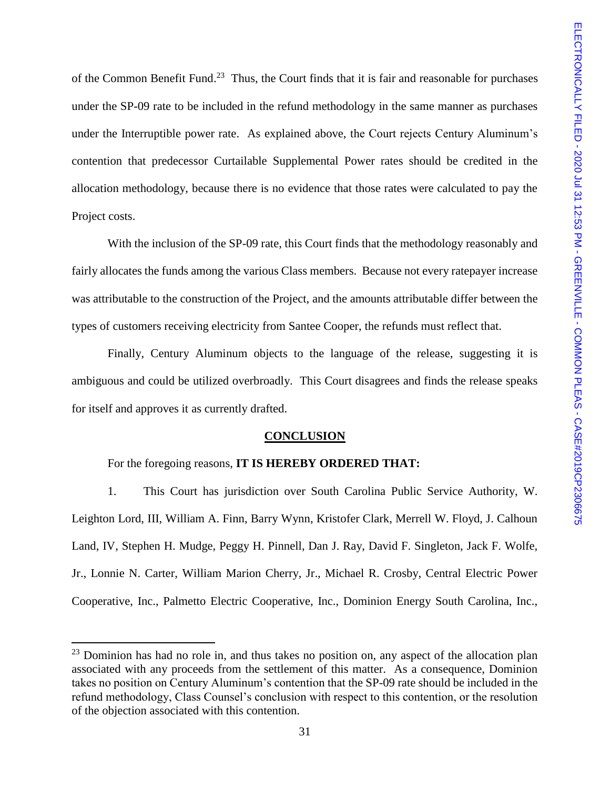of the Common Benefit Fund.<sup>23</sup> Thus, the Court finds that it is fair and reasonable for purchases under the SP-09 rate to be included in the refund methodology in the same manner as purchases under the Interruptible power rate. As explained above, the Court rejects Century Aluminum's contention that predecessor Curtailable Supplemental Power rates should be credited in the allocation methodology, because there is no evidence that those rates were calculated to pay the Project costs.

With the inclusion of the SP-09 rate, this Court finds that the methodology reasonably and fairly allocates the funds among the various Class members. Because not every ratepayer increase was attributable to the construction of the Project, and the amounts attributable differ between the types of customers receiving electricity from Santee Cooper, the refunds must reflect that.

Finally, Century Aluminum objects to the language of the release, suggesting it is ambiguous and could be utilized overbroadly. This Court disagrees and finds the release speaks for itself and approves it as currently drafted.

## **CONCLUSION**

## For the foregoing reasons, **IT IS HEREBY ORDERED THAT:**

 $\overline{a}$ 

1. This Court has jurisdiction over South Carolina Public Service Authority, W. Leighton Lord, III, William A. Finn, Barry Wynn, Kristofer Clark, Merrell W. Floyd, J. Calhoun Land, IV, Stephen H. Mudge, Peggy H. Pinnell, Dan J. Ray, David F. Singleton, Jack F. Wolfe, Jr., Lonnie N. Carter, William Marion Cherry, Jr., Michael R. Crosby, Central Electric Power Cooperative, Inc., Palmetto Electric Cooperative, Inc., Dominion Energy South Carolina, Inc.,

 $23$  Dominion has had no role in, and thus takes no position on, any aspect of the allocation plan associated with any proceeds from the settlement of this matter. As a consequence, Dominion takes no position on Century Aluminum's contention that the SP-09 rate should be included in the refund methodology, Class Counsel's conclusion with respect to this contention, or the resolution of the objection associated with this contention.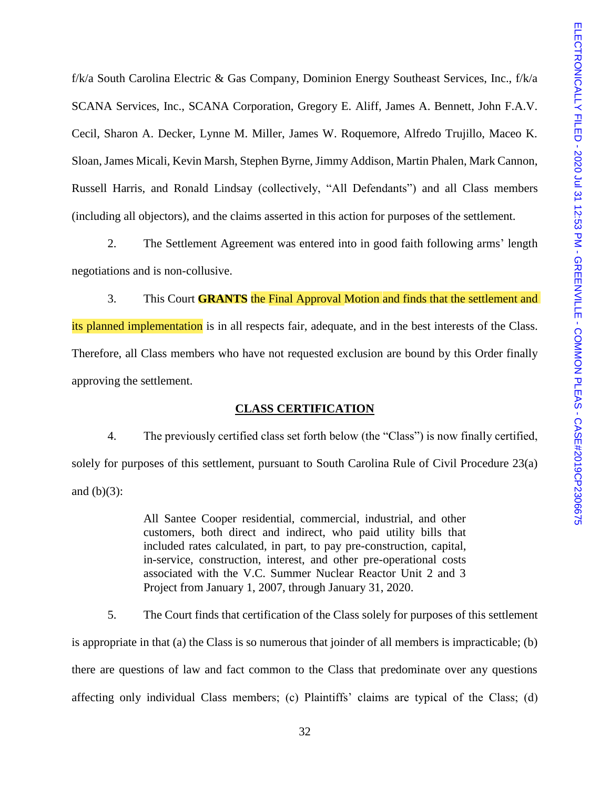f/k/a South Carolina Electric & Gas Company, Dominion Energy Southeast Services, Inc., f/k/a SCANA Services, Inc., SCANA Corporation, Gregory E. Aliff, James A. Bennett, John F.A.V. Cecil, Sharon A. Decker, Lynne M. Miller, James W. Roquemore, Alfredo Trujillo, Maceo K. Sloan, James Micali, Kevin Marsh, Stephen Byrne, Jimmy Addison, Martin Phalen, Mark Cannon, Russell Harris, and Ronald Lindsay (collectively, "All Defendants") and all Class members (including all objectors), and the claims asserted in this action for purposes of the settlement.

2. The Settlement Agreement was entered into in good faith following arms' length negotiations and is non-collusive.

3. This Court **GRANTS** the Final Approval Motion and finds that the settlement and its planned implementation is in all respects fair, adequate, and in the best interests of the Class. Therefore, all Class members who have not requested exclusion are bound by this Order finally approving the settlement.

## **CLASS CERTIFICATION**

4. The previously certified class set forth below (the "Class") is now finally certified, solely for purposes of this settlement, pursuant to South Carolina Rule of Civil Procedure 23(a) and  $(b)(3)$ :

> All Santee Cooper residential, commercial, industrial, and other customers, both direct and indirect, who paid utility bills that included rates calculated, in part, to pay pre-construction, capital, in-service, construction, interest, and other pre-operational costs associated with the V.C. Summer Nuclear Reactor Unit 2 and 3 Project from January 1, 2007, through January 31, 2020.

5. The Court finds that certification of the Class solely for purposes of this settlement is appropriate in that (a) the Class is so numerous that joinder of all members is impracticable; (b) there are questions of law and fact common to the Class that predominate over any questions affecting only individual Class members; (c) Plaintiffs' claims are typical of the Class; (d)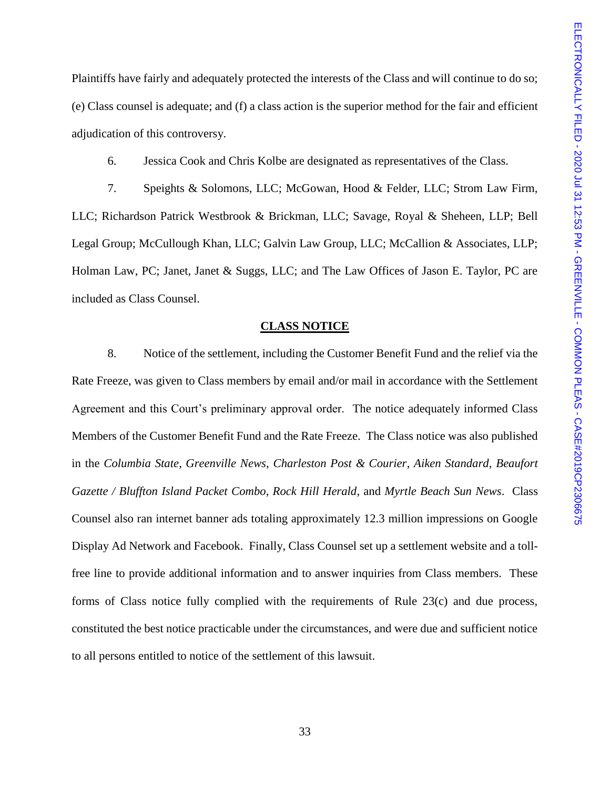Plaintiffs have fairly and adequately protected the interests of the Class and will continue to do so; (e) Class counsel is adequate; and (f) a class action is the superior method for the fair and efficient adjudication of this controversy.

6. Jessica Cook and Chris Kolbe are designated as representatives of the Class.

7. Speights & Solomons, LLC; McGowan, Hood & Felder, LLC; Strom Law Firm, LLC; Richardson Patrick Westbrook & Brickman, LLC; Savage, Royal & Sheheen, LLP; Bell Legal Group; McCullough Khan, LLC; Galvin Law Group, LLC; McCallion & Associates, LLP; Holman Law, PC; Janet, Janet & Suggs, LLC; and The Law Offices of Jason E. Taylor, PC are included as Class Counsel.

#### **CLASS NOTICE**

8. Notice of the settlement, including the Customer Benefit Fund and the relief via the Rate Freeze, was given to Class members by email and/or mail in accordance with the Settlement Agreement and this Court's preliminary approval order. The notice adequately informed Class Members of the Customer Benefit Fund and the Rate Freeze. The Class notice was also published in the *Columbia State*, *Greenville News*, *Charleston Post & Courier*, *Aiken Standard*, *Beaufort Gazette / Bluffton Island Packet Combo*, *Rock Hill Herald*, and *Myrtle Beach Sun News*. Class Counsel also ran internet banner ads totaling approximately 12.3 million impressions on Google Display Ad Network and Facebook. Finally, Class Counsel set up a settlement website and a tollfree line to provide additional information and to answer inquiries from Class members. These forms of Class notice fully complied with the requirements of Rule 23(c) and due process, constituted the best notice practicable under the circumstances, and were due and sufficient notice to all persons entitled to notice of the settlement of this lawsuit.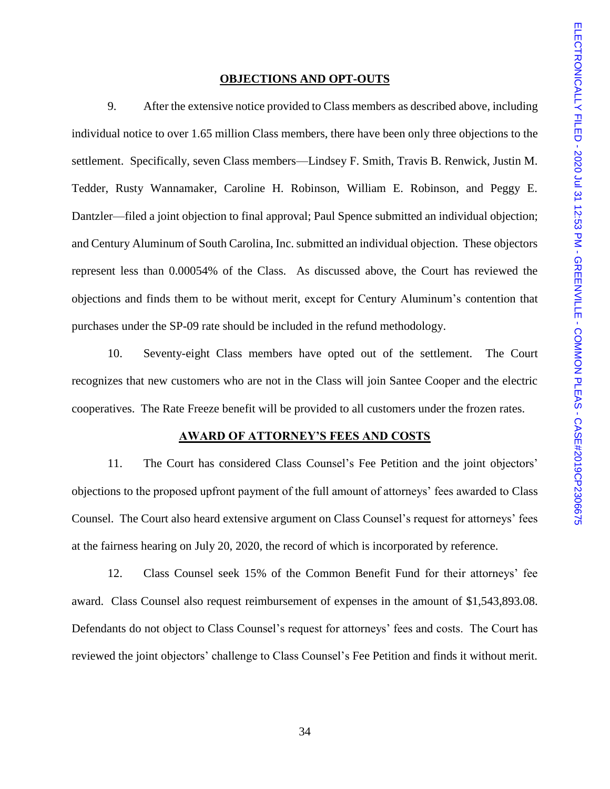#### **OBJECTIONS AND OPT-OUTS**

9. After the extensive notice provided to Class members as described above, including individual notice to over 1.65 million Class members, there have been only three objections to the settlement. Specifically, seven Class members—Lindsey F. Smith, Travis B. Renwick, Justin M. Tedder, Rusty Wannamaker, Caroline H. Robinson, William E. Robinson, and Peggy E. Dantzler—filed a joint objection to final approval; Paul Spence submitted an individual objection; and Century Aluminum of South Carolina, Inc. submitted an individual objection. These objectors represent less than 0.00054% of the Class. As discussed above, the Court has reviewed the objections and finds them to be without merit, except for Century Aluminum's contention that purchases under the SP-09 rate should be included in the refund methodology.

10. Seventy-eight Class members have opted out of the settlement. The Court recognizes that new customers who are not in the Class will join Santee Cooper and the electric cooperatives. The Rate Freeze benefit will be provided to all customers under the frozen rates.

#### **AWARD OF ATTORNEY'S FEES AND COSTS**

11. The Court has considered Class Counsel's Fee Petition and the joint objectors' objections to the proposed upfront payment of the full amount of attorneys' fees awarded to Class Counsel. The Court also heard extensive argument on Class Counsel's request for attorneys' fees at the fairness hearing on July 20, 2020, the record of which is incorporated by reference.

12. Class Counsel seek 15% of the Common Benefit Fund for their attorneys' fee award. Class Counsel also request reimbursement of expenses in the amount of \$1,543,893.08. Defendants do not object to Class Counsel's request for attorneys' fees and costs. The Court has reviewed the joint objectors' challenge to Class Counsel's Fee Petition and finds it without merit.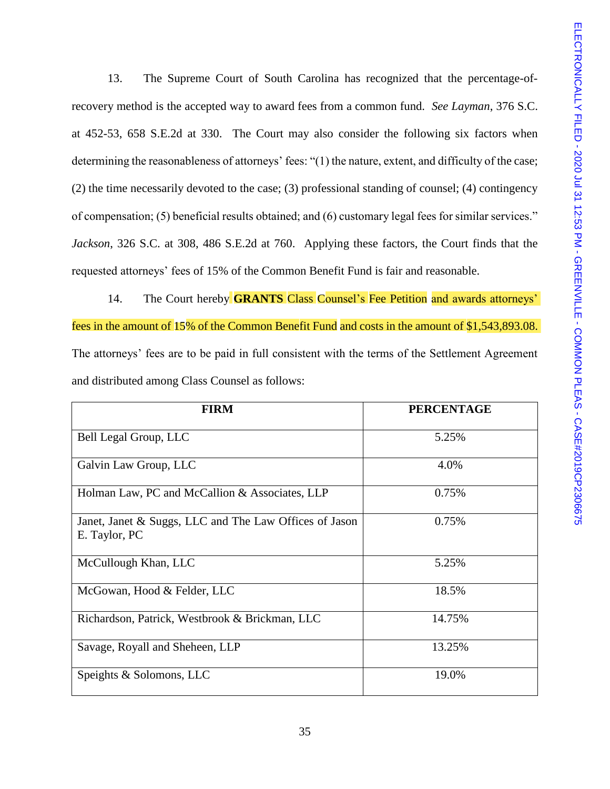13. The Supreme Court of South Carolina has recognized that the percentage-ofrecovery method is the accepted way to award fees from a common fund. *See Layman*, 376 S.C. at 452-53, 658 S.E.2d at 330. The Court may also consider the following six factors when determining the reasonableness of attorneys' fees: "(1) the nature, extent, and difficulty of the case; (2) the time necessarily devoted to the case; (3) professional standing of counsel; (4) contingency of compensation; (5) beneficial results obtained; and (6) customary legal fees for similar services." *Jackson*, 326 S.C. at 308, 486 S.E.2d at 760. Applying these factors, the Court finds that the requested attorneys' fees of 15% of the Common Benefit Fund is fair and reasonable.

14. The Court hereby **GRANTS** Class Counsel's Fee Petition and awards attorneys' fees in the amount of 15% of the Common Benefit Fund and costs in the amount of \$1,543,893.08. The attorneys' fees are to be paid in full consistent with the terms of the Settlement Agreement and distributed among Class Counsel as follows:

| <b>FIRM</b>                                                             | <b>PERCENTAGE</b> |
|-------------------------------------------------------------------------|-------------------|
| Bell Legal Group, LLC                                                   | 5.25%             |
| Galvin Law Group, LLC                                                   | 4.0%              |
| Holman Law, PC and McCallion & Associates, LLP                          | 0.75%             |
| Janet, Janet & Suggs, LLC and The Law Offices of Jason<br>E. Taylor, PC | 0.75%             |
| McCullough Khan, LLC                                                    | 5.25%             |
| McGowan, Hood & Felder, LLC                                             | 18.5%             |
| Richardson, Patrick, Westbrook & Brickman, LLC                          | 14.75%            |
| Savage, Royall and Sheheen, LLP                                         | 13.25%            |
| Speights & Solomons, LLC                                                | 19.0%             |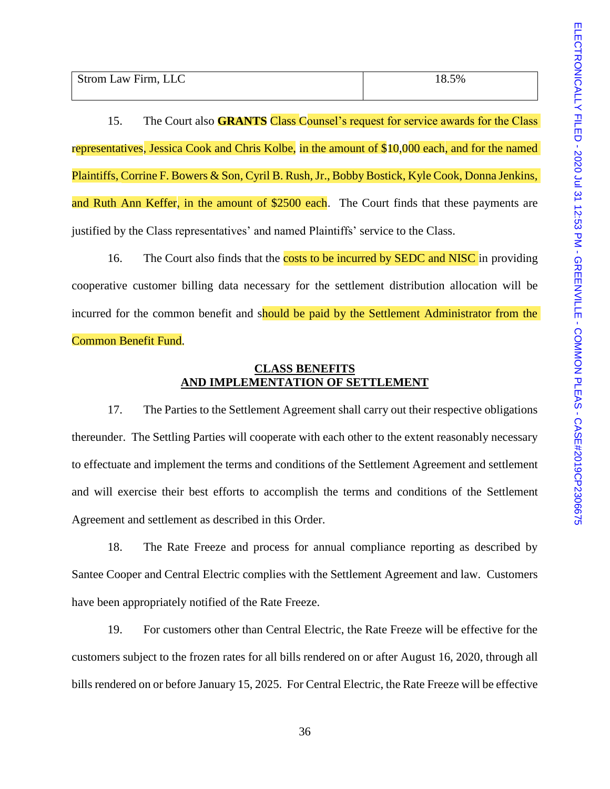| Strom Law Firm, LLC | 5% |
|---------------------|----|
|                     |    |

15. The Court also **GRANTS** Class Counsel's request for service awards for the Class representatives, Jessica Cook and Chris Kolbe, in the amount of \$10,000 each, and for the named Plaintiffs, Corrine F. Bowers & Son, Cyril B. Rush, Jr., Bobby Bostick, Kyle Cook, Donna Jenkins, and Ruth Ann Keffer, in the amount of \$2500 each. The Court finds that these payments are justified by the Class representatives' and named Plaintiffs' service to the Class.

16. The Court also finds that the costs to be incurred by SEDC and NISC in providing cooperative customer billing data necessary for the settlement distribution allocation will be incurred for the common benefit and should be paid by the Settlement Administrator from the Common Benefit Fund.

## **CLASS BENEFITS AND IMPLEMENTATION OF SETTLEMENT**

17. The Parties to the Settlement Agreement shall carry out their respective obligations thereunder. The Settling Parties will cooperate with each other to the extent reasonably necessary to effectuate and implement the terms and conditions of the Settlement Agreement and settlement and will exercise their best efforts to accomplish the terms and conditions of the Settlement Agreement and settlement as described in this Order.

18. The Rate Freeze and process for annual compliance reporting as described by Santee Cooper and Central Electric complies with the Settlement Agreement and law. Customers have been appropriately notified of the Rate Freeze.

19. For customers other than Central Electric, the Rate Freeze will be effective for the customers subject to the frozen rates for all bills rendered on or after August 16, 2020, through all bills rendered on or before January 15, 2025. For Central Electric, the Rate Freeze will be effective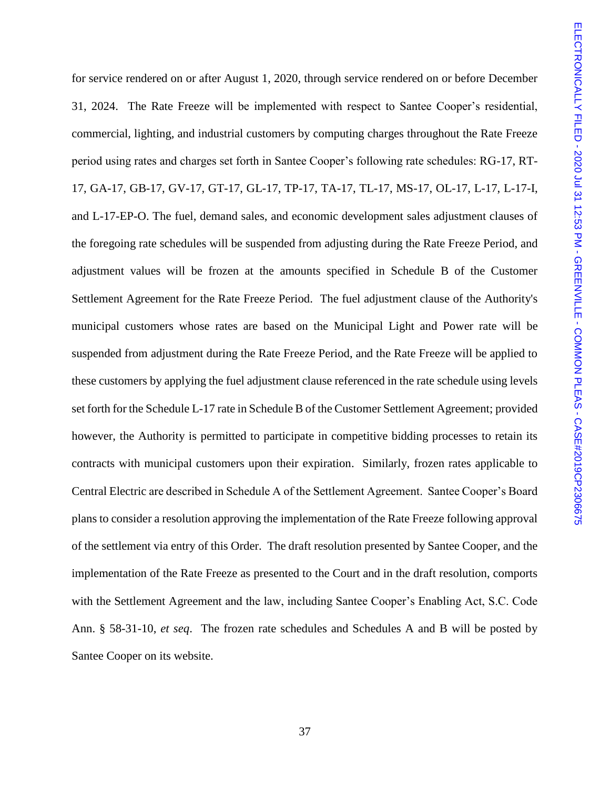for service rendered on or after August 1, 2020, through service rendered on or before December 31, 2024. The Rate Freeze will be implemented with respect to Santee Cooper's residential, commercial, lighting, and industrial customers by computing charges throughout the Rate Freeze period using rates and charges set forth in Santee Cooper's following rate schedules: RG-17, RT-17, GA-17, GB-17, GV-17, GT-17, GL-17, TP-17, TA-17, TL-17, MS-17, OL-17, L-17, L-17-I, and L-17-EP-O. The fuel, demand sales, and economic development sales adjustment clauses of the foregoing rate schedules will be suspended from adjusting during the Rate Freeze Period, and adjustment values will be frozen at the amounts specified in Schedule B of the Customer Settlement Agreement for the Rate Freeze Period. The fuel adjustment clause of the Authority's municipal customers whose rates are based on the Municipal Light and Power rate will be suspended from adjustment during the Rate Freeze Period, and the Rate Freeze will be applied to these customers by applying the fuel adjustment clause referenced in the rate schedule using levels set forth for the Schedule L-17 rate in Schedule B of the Customer Settlement Agreement; provided however, the Authority is permitted to participate in competitive bidding processes to retain its contracts with municipal customers upon their expiration. Similarly, frozen rates applicable to Central Electric are described in Schedule A of the Settlement Agreement. Santee Cooper's Board plans to consider a resolution approving the implementation of the Rate Freeze following approval of the settlement via entry of this Order. The draft resolution presented by Santee Cooper, and the implementation of the Rate Freeze as presented to the Court and in the draft resolution, comports with the Settlement Agreement and the law, including Santee Cooper's Enabling Act, S.C. Code Ann. § 58-31-10, *et seq*. The frozen rate schedules and Schedules A and B will be posted by Santee Cooper on its website.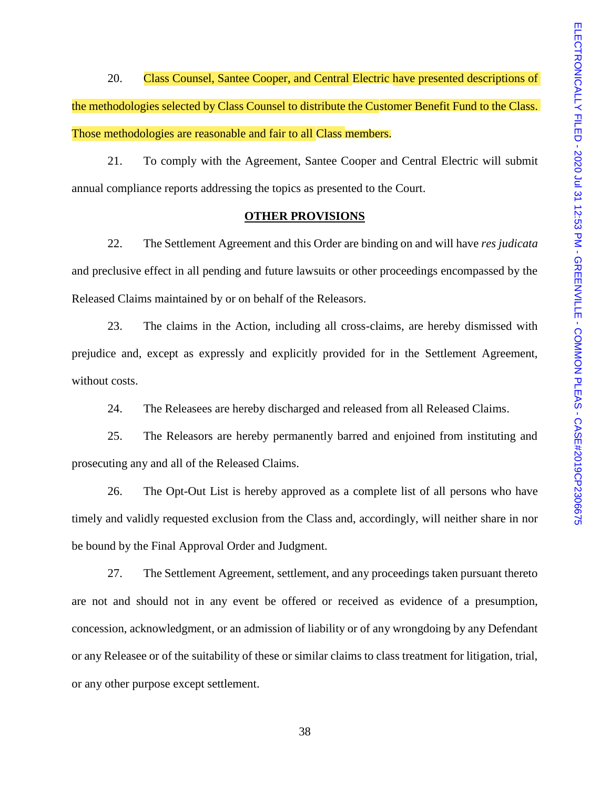20. Class Counsel, Santee Cooper, and Central Electric have presented descriptions of the methodologies selected by Class Counsel to distribute the Customer Benefit Fund to the Class. Those methodologies are reasonable and fair to all Class members.

21. To comply with the Agreement, Santee Cooper and Central Electric will submit annual compliance reports addressing the topics as presented to the Court.

#### **OTHER PROVISIONS**

22. The Settlement Agreement and this Order are binding on and will have *res judicata* and preclusive effect in all pending and future lawsuits or other proceedings encompassed by the Released Claims maintained by or on behalf of the Releasors.

23. The claims in the Action, including all cross-claims, are hereby dismissed with prejudice and, except as expressly and explicitly provided for in the Settlement Agreement, without costs.

24. The Releasees are hereby discharged and released from all Released Claims.

25. The Releasors are hereby permanently barred and enjoined from instituting and prosecuting any and all of the Released Claims.

26. The Opt-Out List is hereby approved as a complete list of all persons who have timely and validly requested exclusion from the Class and, accordingly, will neither share in nor be bound by the Final Approval Order and Judgment.

27. The Settlement Agreement, settlement, and any proceedings taken pursuant thereto are not and should not in any event be offered or received as evidence of a presumption, concession, acknowledgment, or an admission of liability or of any wrongdoing by any Defendant or any Releasee or of the suitability of these or similar claims to class treatment for litigation, trial, or any other purpose except settlement.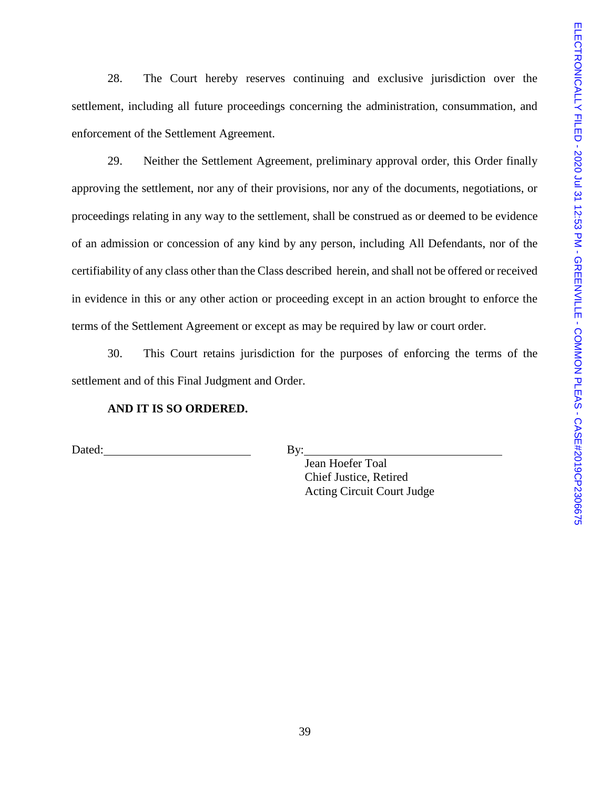28. The Court hereby reserves continuing and exclusive jurisdiction over the settlement, including all future proceedings concerning the administration, consummation, and enforcement of the Settlement Agreement.

29. Neither the Settlement Agreement, preliminary approval order, this Order finally approving the settlement, nor any of their provisions, nor any of the documents, negotiations, or proceedings relating in any way to the settlement, shall be construed as or deemed to be evidence of an admission or concession of any kind by any person, including All Defendants, nor of the certifiability of any class other than the Class described herein, and shall not be offered or received in evidence in this or any other action or proceeding except in an action brought to enforce the terms of the Settlement Agreement or except as may be required by law or court order.

30. This Court retains jurisdiction for the purposes of enforcing the terms of the settlement and of this Final Judgment and Order.

## **AND IT IS SO ORDERED.**

Dated: By:

Jean Hoefer Toal Chief Justice, Retired Acting Circuit Court Judge